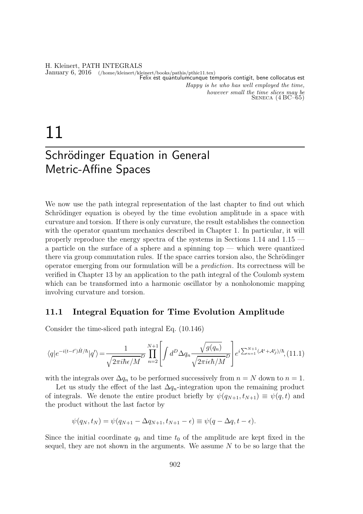#### H. Kleinert, PATH INTEGRALS January 6, 2016 (/home/kleinert/kleinert/books/pathis/pthic11.tex) Felix est quantulumcunque temporis contigit, bene collocatus est Happy is he who has well employed the time, however small the time slices may be  $S_{ENECA}$   $(4 BC-65)$

# 11

# Schrödinger Equation in General Metric-Affine Spaces

We now use the path integral representation of the last chapter to find out which Schrödinger equation is obeyed by the time evolution amplitude in a space with curvature and torsion. If there is only curvature, the result establishes the connection with the operator quantum mechanics described in Chapter 1. In particular, it will properly reproduce the energy spectra of the systems in Sections 1.14 and 1.15 a particle on the surface of a sphere and a spinning top — which were quantized there via group commutation rules. If the space carries torsion also, the Schrödinger operator emerging from our formulation will be a prediction. Its correctness will be verified in Chapter 13 by an application to the path integral of the Coulomb system which can be transformed into a harmonic oscillator by a nonholonomic mapping involving curvature and torsion.

## 11.1 Integral Equation for Time Evolution Amplitude

Consider the time-sliced path integral Eq. (10.146)

$$
\langle q|e^{-i(t-t')\hat{H}/\hbar}|q'\rangle = \frac{1}{\sqrt{2\pi i\hbar\epsilon/M}} \prod_{n=2}^{N+1} \left[ \int d^D \Delta q_n \frac{\sqrt{g(q_n)}}{\sqrt{2\pi i\epsilon\hbar/M}} \right] e^{i\sum_{n=1}^{N+1}(\mathcal{A}^{\epsilon}+\mathcal{A}^{\epsilon}_{\mathcal{J}})/\hbar}, (11.1)
$$

with the integrals over  $\Delta q_n$  to be performed successively from  $n = N$  down to  $n = 1$ .

Let us study the effect of the last  $\Delta q_n$ -integration upon the remaining product of integrals. We denote the entire product briefly by  $\psi(q_{N+1}, t_{N+1}) \equiv \psi(q, t)$  and the product without the last factor by

$$
\psi(q_N, t_N) = \psi(q_{N+1} - \Delta q_{N+1}, t_{N+1} - \epsilon) \equiv \psi(q - \Delta q, t - \epsilon).
$$

Since the initial coordinate  $q_0$  and time  $t_0$  of the amplitude are kept fixed in the sequel, they are not shown in the arguments. We assume  $N$  to be so large that the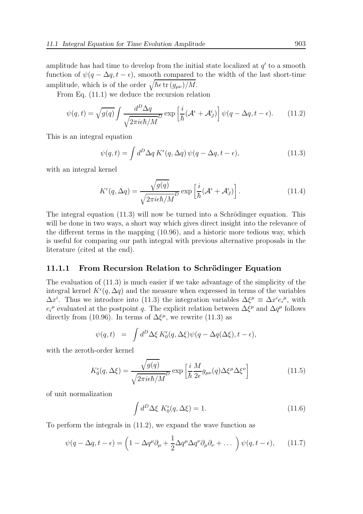amplitude has had time to develop from the initial state localized at  $q'$  to a smooth function of  $\psi(q - \Delta q, t - \epsilon)$ , smooth compared to the width of the last short-time amplitude, which is of the order  $\sqrt{\hbar \epsilon \operatorname{tr}(g_{\mu\nu})/M}$ .

From Eq. (11.1) we deduce the recursion relation

$$
\psi(q,t) = \sqrt{g(q)} \int \frac{d^D \Delta q}{\sqrt{2\pi i \epsilon \hbar / M}} \exp\left[\frac{i}{\hbar} (\mathcal{A}^{\epsilon} + \mathcal{A}^{\epsilon}_{J})\right] \psi(q - \Delta q, t - \epsilon). \tag{11.2}
$$

This is an integral equation

$$
\psi(q,t) = \int d^D \Delta q \, K^{\epsilon}(q, \Delta q) \, \psi(q - \Delta q, t - \epsilon), \tag{11.3}
$$

with an integral kernel

$$
K^{\epsilon}(q, \Delta q) = \frac{\sqrt{g(q)}}{\sqrt{2\pi i \epsilon \hbar/M}^D} \exp\left[\frac{i}{\hbar}(\mathcal{A}^{\epsilon} + \mathcal{A}^{\epsilon}_{J})\right].
$$
 (11.4)

The integral equation  $(11.3)$  will now be turned into a Schrödinger equation. This will be done in two ways, a short way which gives direct insight into the relevance of the different terms in the mapping (10.96), and a historic more tedious way, which is useful for comparing our path integral with previous alternative proposals in the literature (cited at the end).

#### 11.1.1 From Recursion Relation to Schrödinger Equation

The evaluation of (11.3) is much easier if we take advantage of the simplicity of the integral kernel  $K^{\epsilon}(q, \Delta q)$  and the measure when expressed in terms of the variables  $\Delta x^i$ . Thus we introduce into (11.3) the integration variables  $\Delta \xi^{\mu} \equiv \Delta x^i e_i^{\mu}$ , with  $e_i^{\mu}$  evaluated at the postpoint q. The explicit relation between  $\Delta \xi^{\mu}$  and  $\Delta q^{\mu}$  follows directly from (10.96). In terms of  $\Delta \xi^{\mu}$ , we rewrite (11.3) as

$$
\psi(q,t) = \int d^D \Delta \xi K_0^{\epsilon}(q, \Delta \xi) \psi(q - \Delta q(\Delta \xi), t - \epsilon),
$$

with the zeroth-order kernel

$$
K_0^{\epsilon}(q, \Delta \xi) = \frac{\sqrt{g(q)}}{\sqrt{2\pi i \epsilon \hbar / M}} \exp\left[\frac{i}{\hbar} \frac{M}{2\epsilon} g_{\mu\nu}(q) \Delta \xi^{\mu} \Delta \xi^{\nu}\right]
$$
(11.5)

of unit normalization

$$
\int d^D \Delta \xi \ K_0^{\epsilon}(q, \Delta \xi) = 1. \tag{11.6}
$$

To perform the integrals in (11.2), we expand the wave function as

$$
\psi(q - \Delta q, t - \epsilon) = \left(1 - \Delta q^{\mu} \partial_{\mu} + \frac{1}{2} \Delta q^{\mu} \Delta q^{\nu} \partial_{\mu} \partial_{\nu} + \dots \right) \psi(q, t - \epsilon), \quad (11.7)
$$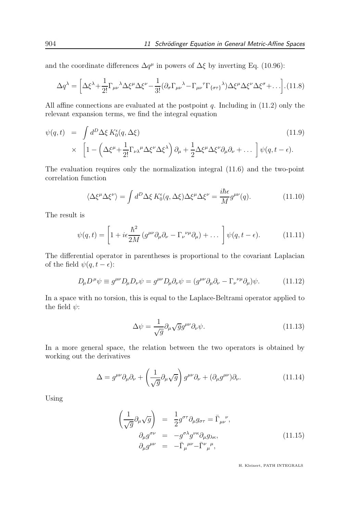and the coordinate differences  $\Delta q^{\mu}$  in powers of  $\Delta \xi$  by inverting Eq. (10.96):

$$
\Delta q^{\lambda} = \left[ \Delta \xi^{\lambda} + \frac{1}{2!} \Gamma_{\mu\nu}{}^{\lambda} \Delta \xi^{\mu} \Delta \xi^{\nu} - \frac{1}{3!} (\partial_{\sigma} \Gamma_{\mu\nu}{}^{\lambda} - \Gamma_{\mu\nu}{}^{\tau} \Gamma_{\{\sigma\tau\}}{}^{\lambda}) \Delta \xi^{\mu} \Delta \xi^{\nu} \Delta \xi^{\sigma} + \dots \right]. (11.8)
$$

All affine connections are evaluated at the postpoint  $q$ . Including in (11.2) only the relevant expansion terms, we find the integral equation

$$
\psi(q,t) = \int d^D \Delta \xi K_0^{\epsilon}(q, \Delta \xi)
$$
\n
$$
\times \left[1 - \left(\Delta \xi^{\mu} + \frac{1}{2!} \Gamma_{\nu \lambda}^{\mu} \Delta \xi^{\nu} \Delta \xi^{\lambda}\right) \partial_{\mu} + \frac{1}{2} \Delta \xi^{\mu} \Delta \xi^{\nu} \partial_{\mu} \partial_{\nu} + \dots \right] \psi(q, t - \epsilon).
$$
\n(11.9)

The evaluation requires only the normalization integral (11.6) and the two-point correlation function

$$
\langle \Delta \xi^{\mu} \Delta \xi^{\nu} \rangle = \int d^{D} \Delta \xi \, K_{0}^{\epsilon}(q, \Delta \xi) \Delta \xi^{\mu} \Delta \xi^{\nu} = \frac{i \hbar \epsilon}{M} g^{\mu \nu}(q). \tag{11.10}
$$

The result is

$$
\psi(q,t) = \left[1 + i\epsilon \frac{\hbar^2}{2M} \left(g^{\mu\nu}\partial_\mu\partial_\nu - \Gamma_\nu^{\ \nu\mu}\partial_\mu\right) + \dots\right] \psi(q,t-\epsilon). \tag{11.11}
$$

The differential operator in parentheses is proportional to the covariant Laplacian of the field  $\psi(q, t - \epsilon)$ :

$$
D_{\mu}D^{\mu}\psi \equiv g^{\mu\nu}D_{\mu}D_{\nu}\psi = g^{\mu\nu}D_{\mu}\partial_{\nu}\psi = (g^{\mu\nu}\partial_{\mu}\partial_{\nu} - \Gamma_{\nu}{}^{\nu\mu}\partial_{\mu})\psi. \tag{11.12}
$$

In a space with no torsion, this is equal to the Laplace-Beltrami operator applied to the field  $\psi$ :

$$
\Delta \psi = \frac{1}{\sqrt{g}} \partial_{\mu} \sqrt{g} g^{\mu \nu} \partial_{\nu} \psi.
$$
 (11.13)

In a more general space, the relation between the two operators is obtained by working out the derivatives

$$
\Delta = g^{\mu\nu}\partial_{\mu}\partial_{\nu} + \left(\frac{1}{\sqrt{g}}\partial_{\mu}\sqrt{g}\right)g^{\mu\nu}\partial_{\nu} + (\partial_{\mu}g^{\mu\nu})\partial_{\nu}.
$$
 (11.14)

Using

$$
\begin{aligned}\n\left(\frac{1}{\sqrt{g}}\partial_{\mu}\sqrt{g}\right) &= \frac{1}{2}g^{\sigma\tau}\partial_{\mu}g_{\sigma\tau} = \bar{\Gamma}_{\mu\nu}^{\ \ \nu},\\ \n\partial_{\mu}g^{\sigma\nu} &= -g^{\sigma\lambda}g^{\nu\kappa}\partial_{\mu}g_{\lambda\kappa},\\ \n\partial_{\mu}g^{\mu\nu} &= -\bar{\Gamma}_{\mu}^{\ \mu\nu} - \bar{\Gamma}^{\nu}{}_{\mu}^{\ \ \mu},\n\end{aligned} \tag{11.15}
$$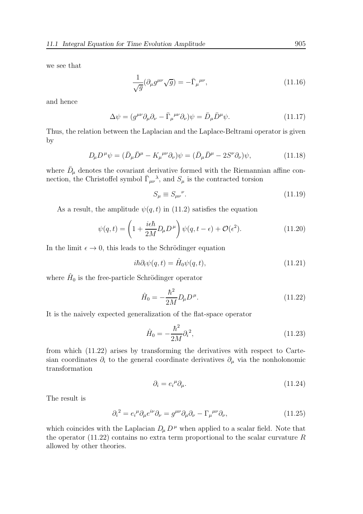we see that

$$
\frac{1}{\sqrt{g}}(\partial_{\mu}g^{\mu\nu}\sqrt{g}) = -\bar{\Gamma}_{\mu}^{\ \mu\nu},\tag{11.16}
$$

and hence

$$
\Delta \psi = (g^{\mu\nu} \partial_{\mu} \partial_{\nu} - \bar{\Gamma}_{\mu}{}^{\mu\nu} \partial_{\nu}) \psi = \bar{D}_{\mu} \bar{D}^{\mu} \psi. \tag{11.17}
$$

Thus, the relation between the Laplacian and the Laplace-Beltrami operator is given by

$$
D_{\mu}D^{\mu}\psi = (\bar{D}_{\mu}\bar{D}^{\mu} - K_{\mu}^{\ \mu\nu}\partial_{\nu})\psi = (\bar{D}_{\mu}\bar{D}^{\mu} - 2S^{\nu}\partial_{\nu})\psi,
$$
\n(11.18)

where  $\bar{D}_{\mu}$  denotes the covariant derivative formed with the Riemannian affine connection, the Christoffel symbol  $\overline{\Gamma}_{\mu\nu}{}^{\lambda}$ , and  $S_{\mu}$  is the contracted torsion

$$
S_{\mu} \equiv S_{\mu\nu}{}^{\nu}.
$$
\n(11.19)

As a result, the amplitude  $\psi(q, t)$  in (11.2) satisfies the equation

$$
\psi(q,t) = \left(1 + \frac{i\epsilon\hbar}{2M}D_{\mu}D^{\mu}\right)\psi(q,t-\epsilon) + \mathcal{O}(\epsilon^2). \tag{11.20}
$$

In the limit  $\epsilon \to 0$ , this leads to the Schrödinger equation

$$
i\hbar \partial_t \psi(q,t) = \hat{H}_0 \psi(q,t), \qquad (11.21)
$$

where  $\hat{H}_0$  is the free-particle Schrödinger operator

$$
\hat{H}_0 = -\frac{\hbar^2}{2M} D_\mu D^\mu.
$$
\n(11.22)

It is the naively expected generalization of the flat-space operator

$$
\hat{H}_0 = -\frac{\hbar^2}{2M} \partial_i^2,\tag{11.23}
$$

from which (11.22) arises by transforming the derivatives with respect to Cartesian coordinates  $\partial_i$  to the general coordinate derivatives  $\partial_\mu$  via the nonholonomic transformation

$$
\partial_i = e_i^{\mu} \partial_{\mu}.
$$
\n(11.24)

The result is

$$
\partial_i^2 = e_i^{\mu} \partial_{\mu} e^{i\nu} \partial_{\nu} = g^{\mu\nu} \partial_{\mu} \partial_{\nu} - \Gamma_{\mu}^{\ \mu\nu} \partial_{\nu},\tag{11.25}
$$

which coincides with the Laplacian  $D_\mu D^\mu$  when applied to a scalar field. Note that the operator  $(11.22)$  contains no extra term proportional to the scalar curvature R allowed by other theories.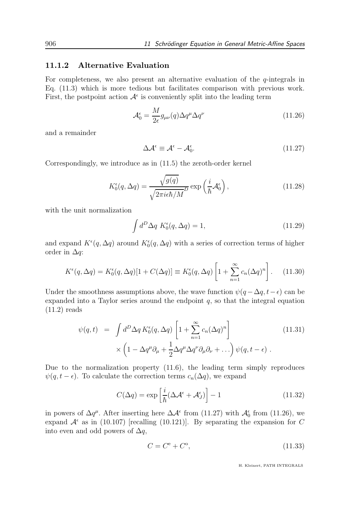#### 11.1.2 Alternative Evaluation

For completeness, we also present an alternative evaluation of the  $q$ -integrals in Eq. (11.3) which is more tedious but facilitates comparison with previous work. First, the postpoint action  $\mathcal{A}^{\epsilon}$  is conveniently split into the leading term

$$
\mathcal{A}_0^{\epsilon} = \frac{M}{2\epsilon} g_{\mu\nu}(q) \Delta q^{\mu} \Delta q^{\nu}
$$
 (11.26)

and a remainder

$$
\Delta \mathcal{A}^{\epsilon} \equiv \mathcal{A}^{\epsilon} - \mathcal{A}^{\epsilon}_{0}. \tag{11.27}
$$

Correspondingly, we introduce as in (11.5) the zeroth-order kernel

$$
K_0^{\epsilon}(q, \Delta q) = \frac{\sqrt{g(q)}}{\sqrt{2\pi i \epsilon \hbar / M}} \exp\left(\frac{i}{\hbar} \mathcal{A}_0^{\epsilon}\right),\tag{11.28}
$$

with the unit normalization

$$
\int d^D \Delta q \ K_0^{\epsilon}(q, \Delta q) = 1,\tag{11.29}
$$

and expand  $K^{\epsilon}(q, \Delta q)$  around  $K^{\epsilon}(q, \Delta q)$  with a series of correction terms of higher order in  $\Delta q$ :

$$
K^{\epsilon}(q,\Delta q) = K_0^{\epsilon}(q,\Delta q)[1 + C(\Delta q)] \equiv K_0^{\epsilon}(q,\Delta q) \left[1 + \sum_{n=1}^{\infty} c_n (\Delta q)^n\right].
$$
 (11.30)

Under the smoothness assumptions above, the wave function  $\psi(q - \Delta q, t - \epsilon)$  can be expanded into a Taylor series around the endpoint  $q$ , so that the integral equation (11.2) reads

$$
\psi(q,t) = \int d^D \Delta q \, K_0^{\epsilon}(q, \Delta q) \left[ 1 + \sum_{n=1}^{\infty} c_n (\Delta q)^n \right] \times \left( 1 - \Delta q^{\mu} \partial_{\mu} + \frac{1}{2} \Delta q^{\mu} \Delta q^{\nu} \partial_{\mu} \partial_{\nu} + \ldots \right) \psi(q, t - \epsilon) .
$$
\n(11.31)

Due to the normalization property (11.6), the leading term simply reproduces  $\psi(q, t - \epsilon)$ . To calculate the correction terms  $c_n(\Delta q)$ , we expand

$$
C(\Delta q) = \exp\left[\frac{i}{\hbar}(\Delta \mathcal{A}^{\epsilon} + \mathcal{A}^{\epsilon}_{J})\right] - 1
$$
\n(11.32)

in powers of  $\Delta q^{\mu}$ . After inserting here  $\Delta \mathcal{A}^{\epsilon}$  from (11.27) with  $\mathcal{A}_{0}^{\epsilon}$  from (11.26), we expand  $A^{\epsilon}$  as in (10.107) [recalling (10.121)]. By separating the expansion for C into even and odd powers of  $\Delta q$ ,

$$
C = C^e + C^o,\tag{11.33}
$$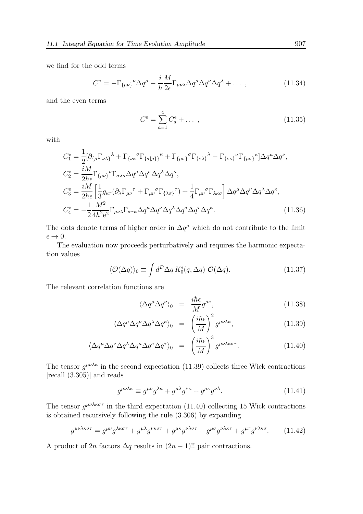we find for the odd terms

$$
C^{\circ} = -\Gamma_{\{\mu\nu\}}{}^{\nu} \Delta q^{\mu} - \frac{i}{\hbar} \frac{M}{2\epsilon} \Gamma_{\mu\nu\lambda} \Delta q^{\mu} \Delta q^{\nu} \Delta q^{\lambda} + \dots \,, \tag{11.34}
$$

and the even terms

$$
C^{\mathbf{e}} = \sum_{a=1}^{4} C_a^{\mathbf{e}} + \dots \,, \tag{11.35}
$$

with

$$
C_{1}^{\text{e}} = \frac{1}{2} [\partial_{\{\mu} \Gamma_{\nu\lambda\}}^{\lambda} + \Gamma_{\{\nu\kappa}^{\sigma} \Gamma_{\{\sigma|\mu\}}^{\mu}}^{\kappa} + \Gamma_{\{\mu\sigma\}}^{\sigma} \Gamma_{\{\nu\lambda\}}^{\lambda} - \Gamma_{\{\nu\kappa\}}^{\sigma} \Gamma_{\{\mu\sigma\}}^{\kappa}] \Delta q^{\mu} \Delta q^{\nu},
$$
  
\n
$$
C_{2}^{\text{e}} = \frac{iM}{2\hbar\epsilon} \Gamma_{\{\mu\nu\}}^{\nu} \Gamma_{\sigma\lambda\kappa} \Delta q^{\mu} \Delta q^{\sigma} \Delta q^{\lambda} \Delta q^{\kappa},
$$
  
\n
$$
C_{3}^{\text{e}} = \frac{iM}{2\hbar\epsilon} \left[ \frac{1}{3} g_{\kappa\tau} (\partial_{\lambda} \Gamma_{\mu\nu}^{\tau} + \Gamma_{\mu\nu}^{\sigma} \Gamma_{\{\lambda\sigma\}}^{\tau}) + \frac{1}{4} \Gamma_{\mu\nu}^{\sigma} \Gamma_{\lambda\kappa\sigma} \right] \Delta q^{\mu} \Delta q^{\nu} \Delta q^{\lambda} \Delta q^{\kappa},
$$
  
\n
$$
C_{4}^{\text{e}} = -\frac{1}{2} \frac{M^{2}}{4\hbar^{2} e^{2}} \Gamma_{\mu\nu\lambda} \Gamma_{\sigma\tau\kappa} \Delta q^{\mu} \Delta q^{\nu} \Delta q^{\lambda} \Delta q^{\sigma} \Delta q^{\tau} \Delta q^{\kappa}.
$$
\n(11.36)

The dots denote terms of higher order in  $\Delta q^{\mu}$  which do not contribute to the limit  $\epsilon\rightarrow 0.$ 

The evaluation now proceeds perturbatively and requires the harmonic expectation values

$$
\langle \mathcal{O}(\Delta q) \rangle_0 \equiv \int d^D \Delta q \, K_0^{\epsilon}(q, \Delta q) \, \mathcal{O}(\Delta q). \tag{11.37}
$$

The relevant correlation functions are

$$
\langle \Delta q^{\mu} \Delta q^{\nu} \rangle_{0} = \frac{i \hbar \epsilon}{M} g^{\mu \nu}, \qquad (11.38)
$$

$$
\langle \Delta q^{\mu} \Delta q^{\nu} \Delta q^{\lambda} \Delta q^{\kappa} \rangle_{0} = \left( \frac{i \hbar \epsilon}{M} \right)^{2} g^{\mu \nu \lambda \kappa}, \qquad (11.39)
$$

$$
\langle \Delta q^{\mu} \Delta q^{\nu} \Delta q^{\lambda} \Delta q^{\kappa} \Delta q^{\sigma} \Delta q^{\tau} \rangle_{0} = \left( \frac{i \hbar \epsilon}{M} \right)^{3} g^{\mu \nu \lambda \kappa \sigma \tau}.
$$
 (11.40)

The tensor  $g^{\mu\nu\lambda\kappa}$  in the second expectation (11.39) collects three Wick contractions [recall (3.305)] and reads

$$
g^{\mu\nu\lambda\kappa} \equiv g^{\mu\nu}g^{\lambda\kappa} + g^{\mu\lambda}g^{\nu\kappa} + g^{\mu\kappa}g^{\nu\lambda}.\tag{11.41}
$$

The tensor  $g^{\mu\nu\lambda\kappa\sigma\tau}$  in the third expectation (11.40) collecting 15 Wick contractions is obtained recursively following the rule (3.306) by expanding

$$
g^{\mu\nu\lambda\kappa\sigma\tau} = g^{\mu\nu}g^{\lambda\kappa\sigma\tau} + g^{\mu\lambda}g^{\nu\kappa\sigma\tau} + g^{\mu\kappa}g^{\nu\lambda\sigma\tau} + g^{\mu\sigma}g^{\nu\lambda\kappa\tau} + g^{\mu\tau}g^{\nu\lambda\kappa\sigma}.
$$
 (11.42)

A product of 2n factors  $\Delta q$  results in  $(2n - 1)!!$  pair contractions.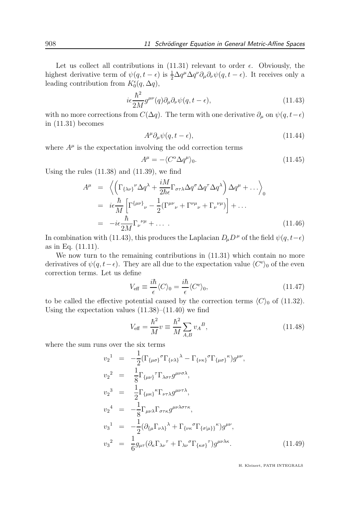Let us collect all contributions in  $(11.31)$  relevant to order  $\epsilon$ . Obviously, the highest derivative term of  $\psi(q, t - \epsilon)$  is  $\frac{1}{2} \Delta q^{\mu} \Delta q^{\nu} \partial_{\mu} \partial_{\nu} \psi(q, t - \epsilon)$ . It receives only a leading contribution from  $K_0^{\epsilon}(q, \Delta q)$ ,

$$
i\epsilon \frac{\hbar^2}{2M} g^{\mu\nu}(q) \partial_\mu \partial_\nu \psi(q, t - \epsilon), \tag{11.43}
$$

with no more corrections from  $C(\Delta q)$ . The term with one derivative  $\partial_{\mu}$  on  $\psi(q, t - \epsilon)$ in (11.31) becomes

$$
A^{\mu}\partial_{\mu}\psi(q,t-\epsilon),\tag{11.44}
$$

where  $A^{\mu}$  is the expectation involving the odd correction terms

$$
A^{\mu} = -\langle C^{\circ} \Delta q^{\mu} \rangle_0. \tag{11.45}
$$

Using the rules  $(11.38)$  and  $(11.39)$ , we find

$$
A^{\mu} = \left\langle \left( \Gamma_{\{\lambda\nu\}}^{\nu} \Delta q^{\lambda} + \frac{iM}{2\hbar \epsilon} \Gamma_{\sigma\tau\lambda} \Delta q^{\sigma} \Delta q^{\tau} \Delta q^{\lambda} \right) \Delta q^{\mu} + \dots \right\rangle_{0}
$$
  
\n
$$
= i\epsilon \frac{\hbar}{M} \left[ \Gamma^{\{\mu\nu\}}_{\nu} - \frac{1}{2} (\Gamma^{\mu\nu}_{\nu} + \Gamma^{\nu\mu}_{\nu} + \Gamma_{\nu}^{\nu\mu}) \right] + \dots
$$
  
\n
$$
= -i\epsilon \frac{\hbar}{2M} \Gamma_{\nu}^{\nu\mu} + \dots \qquad (11.46)
$$

In combination with (11.43), this produces the Laplacian  $D_{\mu}D^{\mu}$  of the field  $\psi(q, t-\epsilon)$ as in Eq. (11.11).

We now turn to the remaining contributions in  $(11.31)$  which contain no more derivatives of  $\psi(q, t - \epsilon)$ . They are all due to the expectation value  $\langle C^e \rangle_0$  of the even correction terms. Let us define

$$
V_{\text{eff}} \equiv \frac{i\hbar}{\epsilon} \langle C \rangle_0 = \frac{i\hbar}{\epsilon} \langle C^{\text{e}} \rangle_0,\tag{11.47}
$$

to be called the effective potential caused by the correction terms  $\langle C \rangle_0$  of (11.32). Using the expectation values  $(11.38)$ – $(11.40)$  we find

$$
V_{\text{eff}} = \frac{\hbar^2}{M} v \equiv \frac{\hbar^2}{M} \sum_{A,B} v_A{}^B,
$$
\n(11.48)

where the sum runs over the six terms

$$
v_2^1 = -\frac{1}{2} (\Gamma_{\{\mu\sigma\}}{}^{\sigma} \Gamma_{\{\nu\lambda\}}{}^{\lambda} - \Gamma_{\{\nu\kappa\}}{}^{\sigma} \Gamma_{\{\mu\sigma\}}{}^{\kappa}) g^{\mu\nu},
$$
  
\n
$$
v_2^2 = \frac{1}{8} \Gamma_{\{\mu\nu\}}{}^{\tau} \Gamma_{\lambda\sigma\tau} g^{\mu\nu\sigma\lambda},
$$
  
\n
$$
v_2^3 = \frac{1}{2} \Gamma_{\{\mu\kappa\}}{}^{\kappa} \Gamma_{\nu\tau\lambda} g^{\mu\nu\tau\lambda},
$$
  
\n
$$
v_2^4 = -\frac{1}{8} \Gamma_{\mu\nu\lambda} \Gamma_{\sigma\tau\kappa} g^{\mu\nu\lambda\sigma\tau\kappa},
$$
  
\n
$$
v_3^1 = -\frac{1}{2} (\partial_{\{\mu} \Gamma_{\nu\lambda\}}{}^{\lambda} + \Gamma_{\{\nu\kappa}{}^{\sigma} \Gamma_{\{\sigma|\mu\}}{}^{\kappa}) g^{\mu\nu},
$$
  
\n
$$
v_3^2 = \frac{1}{6} g_{\mu\tau} (\partial_{\kappa} \Gamma_{\lambda\nu}{}^{\tau} + \Gamma_{\lambda\nu}{}^{\sigma} \Gamma_{\{\kappa\sigma\}}{}^{\tau}) g^{\mu\nu\lambda\kappa}.
$$
  
\n(11.49)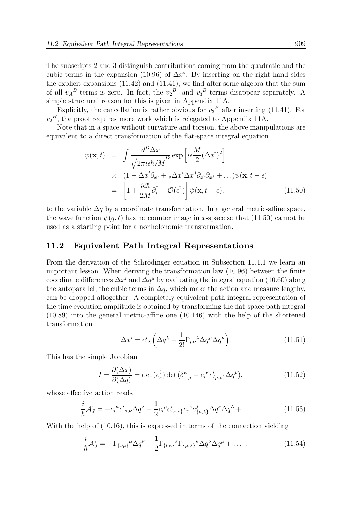The subscripts 2 and 3 distinguish contributions coming from the quadratic and the cubic terms in the expansion (10.96) of  $\Delta x^i$ . By inserting on the right-hand sides the explicit expansions (11.42) and (11.41), we find after some algebra that the sum of all  $v_A^B$ -terms is zero. In fact, the  $v_2^B$ - and  $v_3^B$ -terms disappear separately. A simple structural reason for this is given in Appendix 11A.

Explicitly, the cancellation is rather obvious for  $v_3^B$  after inserting (11.41). For  $v_2^B$ , the proof requires more work which is relegated to Appendix 11A.

Note that in a space without curvature and torsion, the above manipulations are equivalent to a direct transformation of the flat-space integral equation

$$
\psi(\mathbf{x},t) = \int \frac{d^D \Delta x}{\sqrt{2\pi i \epsilon \hbar/M}^D} \exp\left[i\epsilon \frac{M}{2} (\Delta x^i)^2\right] \n\times (1 - \Delta x^i \partial_{x^i} + \frac{1}{2} \Delta x^i \Delta x^j \partial_{x^i} \partial_{x^j} + ...)\psi(\mathbf{x}, t - \epsilon) \n= \left[1 + \frac{i\epsilon \hbar}{2M} \partial_i^2 + \mathcal{O}(\epsilon^2)\right] \psi(\mathbf{x}, t - \epsilon),
$$
\n(11.50)

to the variable  $\Delta q$  by a coordinate transformation. In a general metric-affine space, the wave function  $\psi(q, t)$  has no counter image in x-space so that (11.50) cannot be used as a starting point for a nonholonomic transformation.

#### 11.2 Equivalent Path Integral Representations

From the derivation of the Schrödinger equation in Subsection 11.1.1 we learn an important lesson. When deriving the transformation law (10.96) between the finite coordinate differences  $\Delta x^i$  and  $\Delta q^{\mu}$  by evaluating the integral equation (10.60) along the autoparallel, the cubic terms in  $\Delta q$ , which make the action and measure lengthy, can be dropped altogether. A completely equivalent path integral representation of the time evolution amplitude is obtained by transforming the flat-space path integral (10.89) into the general metric-affine one (10.146) with the help of the shortened transformation

$$
\Delta x^{i} = e^{i}{}_{\lambda} \left( \Delta q^{\lambda} - \frac{1}{2!} \Gamma_{\mu\nu}{}^{\lambda} \Delta q^{\mu} \Delta q^{\nu} \right).
$$
 (11.51)

This has the simple Jacobian

$$
J = \frac{\partial(\Delta x)}{\partial(\Delta q)} = \det(e^i_{\kappa}) \det(\delta^{\kappa}{}_{\mu} - e_i^{\kappa} e^i_{\{\mu,\nu\}} \Delta q^{\nu}), \qquad (11.52)
$$

whose effective action reads

$$
\frac{i}{\hbar} \mathcal{A}^{\epsilon}_{J} = -e_{i}{}^{\kappa} e^{i}{}_{\kappa,\nu} \Delta q^{\nu} - \frac{1}{2} e_{i}{}^{\mu} e^{i}{}_{\{\kappa,\nu\}} e_{j}{}^{\kappa} e^{j}{}_{\{\mu,\lambda\}} \Delta q^{\nu} \Delta q^{\lambda} + \dots \tag{11.53}
$$

With the help of  $(10.16)$ , this is expressed in terms of the connection yielding

$$
\frac{i}{\hbar} \mathcal{A}^{\epsilon}_{J} = -\Gamma_{\{\nu\mu\}}{}^{\mu} \Delta q^{\nu} - \frac{1}{2} \Gamma_{\{\nu\kappa\}}{}^{\sigma} \Gamma_{\{\mu,\sigma\}}{}^{\kappa} \Delta q^{\nu} \Delta q^{\mu} + \dots \tag{11.54}
$$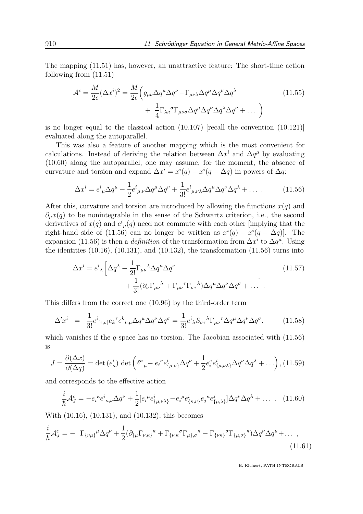The mapping (11.51) has, however, an unattractive feature: The short-time action following from (11.51)

$$
\mathcal{A}^{\epsilon} = \frac{M}{2\epsilon} (\Delta x^{i})^{2} = \frac{M}{2\epsilon} \Big( g_{\mu\nu} \Delta q^{\mu} \Delta q^{\nu} - \Gamma_{\mu\nu\lambda} \Delta q^{\mu} \Delta q^{\nu} \Delta q^{\lambda} + \frac{1}{4} \Gamma_{\lambda\kappa}{}^{\sigma} \Gamma_{\mu\nu\sigma} \Delta q^{\mu} \Delta q^{\nu} \Delta q^{\lambda} \Delta q^{\kappa} + \dots \Big)
$$
\n(11.55)

is no longer equal to the classical action (10.107) [recall the convention (10.121)] evaluated along the autoparallel.

This was also a feature of another mapping which is the most convenient for calculations. Instead of deriving the relation between  $\Delta x^i$  and  $\Delta q^{\mu}$  by evaluating (10.60) along the autoparallel, one may assume, for the moment, the absence of curvature and torsion and expand  $\Delta x^i = x^i(q) - x^i(q - \Delta q)$  in powers of  $\Delta q$ :

$$
\Delta x^i = e^i{}_{\mu}\Delta q^{\mu} - \frac{1}{2}e^i{}_{\mu,\nu}\Delta q^{\mu}\Delta q^{\nu} + \frac{1}{3!}e^i{}_{\mu,\nu\lambda}\Delta q^{\mu}\Delta q^{\nu}\Delta q^{\lambda} + \dots \tag{11.56}
$$

After this, curvature and torsion are introduced by allowing the functions  $x(q)$  and  $\partial_{\mu}x(q)$  to be nonintegrable in the sense of the Schwartz criterion, i.e., the second derivatives of  $x(q)$  and  $e^i_{\mu}(q)$  need not commute with each other [implying that the right-hand side of (11.56) can no longer be written as  $x^{i}(q) - x^{i}(q - \Delta q)$ . The expansion (11.56) is then a *definition* of the transformation from  $\Delta x^i$  to  $\Delta q^{\mu}$ . Using the identities  $(10.16)$ ,  $(10.131)$ , and  $(10.132)$ , the transformation  $(11.56)$  turns into

$$
\Delta x^{i} = e^{i}{}_{\lambda} \left[ \Delta q^{\lambda} - \frac{1}{2!} \Gamma_{\mu\nu}{}^{\lambda} \Delta q^{\mu} \Delta q^{\nu} + \frac{1}{3!} (\partial_{\sigma} \Gamma_{\mu\nu}{}^{\lambda} + \Gamma_{\mu\nu}{}^{\tau} \Gamma_{\sigma\tau}{}^{\lambda}) \Delta q^{\mu} \Delta q^{\nu} \Delta q^{\sigma} + \ldots \right].
$$
\n(11.57)

This differs from the correct one (10.96) by the third-order term

$$
\Delta' x^i = \frac{1}{3!} e^i{}_{[\tau,\sigma]} e_k{}^{\tau} e^k{}_{\nu,\mu} \Delta q^{\mu} \Delta q^{\nu} \Delta q^{\sigma} = \frac{1}{3!} e^i{}_{\lambda} S_{\sigma\tau}{}^{\lambda} \Gamma_{\mu\nu}{}^{\tau} \Delta q^{\mu} \Delta q^{\nu} \Delta q^{\sigma}, \tag{11.58}
$$

which vanishes if the  $q$ -space has no torsion. The Jacobian associated with  $(11.56)$ is

$$
J = \frac{\partial(\Delta x)}{\partial(\Delta q)} = \det(e_{\kappa}^i) \, \det \left( \delta^{\kappa}{}_{\mu} - e_i^{\kappa} e_{\{\mu,\nu\}}^i \Delta q^{\nu} + \frac{1}{2} e_i^{\kappa} e_{\{\mu,\nu\lambda\}}^i \Delta q^{\nu} \Delta q^{\lambda} + \dots \right), \, (11.59)
$$

and corresponds to the effective action

$$
\frac{i}{\hbar} \mathcal{A}^{\epsilon}_{J} = -e_{i}{}^{\kappa} e^{i}{}_{\kappa,\nu} \Delta q^{\nu} + \frac{1}{2} [e_{i}{}^{\mu} e^{i}{}_{\{\mu,\nu\lambda\}} - e_{i}{}^{\mu} e^{i}{}_{\{\kappa,\nu\}} e_{j}{}^{\kappa} e^{j}{}_{\{\mu,\lambda\}}] \Delta q^{\nu} \Delta q^{\lambda} + \dots \quad (11.60)
$$

With (10.16), (10.131), and (10.132), this becomes

$$
\frac{i}{\hbar} \mathcal{A}^{\epsilon}_{J} = - \Gamma_{\{\nu\mu\}}{}^{\mu} \Delta q^{\nu} + \frac{1}{2} (\partial_{\{\mu} \Gamma_{\nu,\kappa\}}{}^{\kappa} + \Gamma_{\{\nu,\kappa\}}{}^{\sigma} \Gamma_{\mu\},\sigma}{}^{\kappa} - \Gamma_{\{\nu\kappa\}}{}^{\sigma} \Gamma_{\{\mu,\sigma\}}{}^{\kappa}) \Delta q^{\nu} \Delta q^{\mu} + \dots \tag{11.61}
$$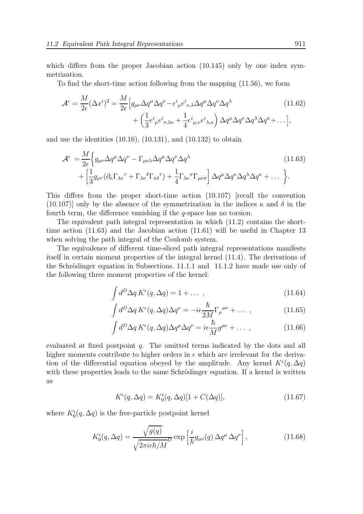which differs from the proper Jacobian action (10.145) only by one index symmetrization.

To find the short-time action following from the mapping (11.56), we form

$$
\mathcal{A}^{\epsilon} = \frac{M}{2\epsilon} (\Delta x^{i})^{2} = \frac{M}{2\epsilon} \Big[ g_{\mu\nu} \Delta q^{\mu} \Delta q^{\nu} - e^{i}{}_{\mu} e^{i}{}_{\nu,\lambda} \Delta q^{\mu} \Delta q^{\nu} \Delta q^{\lambda} + \left( \frac{1}{3} e^{i}{}_{\mu} e^{i}{}_{\nu,\lambda\kappa} + \frac{1}{4} e^{i}{}_{\mu,\nu} e^{i}{}_{\lambda,\kappa} \right) \Delta q^{\mu} \Delta q^{\nu} \Delta q^{\lambda} \Delta q^{\kappa} + \dots \Big],
$$
\n(11.62)

and use the identities  $(10.16)$ ,  $(10.131)$ , and  $(10.132)$  to obtain

$$
\mathcal{A}^{\epsilon} = \frac{M}{2\epsilon} \Biggl\{ g_{\mu\nu} \Delta q^{\mu} \Delta q^{\nu} - \Gamma_{\mu\nu\lambda} \Delta q^{\mu} \Delta q^{\nu} \Delta q^{\lambda} + \Biggl[ \frac{1}{3} g_{\mu\tau} (\partial_{\kappa} \Gamma_{\lambda\nu}^{\ \tau} + \Gamma_{\lambda\nu}^{\ \delta} \Gamma_{\kappa\delta}^{\ \tau}) + \frac{1}{4} \Gamma_{\lambda\kappa}^{\ \sigma} \Gamma_{\mu\nu\sigma} \Biggr] \Delta q^{\mu} \Delta q^{\nu} \Delta q^{\lambda} \Delta q^{\kappa} + \dots \Biggr\}.
$$
\n(11.63)

This differs from the proper short-time action (10.107) [recall the convention (10.107)] only by the absence of the symmetrization in the indices  $\kappa$  and  $\delta$  in the fourth term, the difference vanishing if the  $q$ -space has no torsion.

The equivalent path integral representation in which (11.2) contains the shorttime action (11.63) and the Jacobian action (11.61) will be useful in Chapter 13 when solving the path integral of the Coulomb system.

The equivalence of different time-sliced path integral representations manifests itself in certain moment properties of the integral kernel (11.4). The derivations of the Schrödinger equation in Subsections.  $11.1.1$  and  $11.1.2$  have made use only of the following three moment properties of the kernel:

$$
\int d^D \Delta q \, K^{\epsilon}(q, \Delta q) = 1 + \dots \,, \tag{11.64}
$$

$$
\int d^D \Delta q \, K^{\epsilon}(q, \Delta q) \Delta q^{\nu} = -i\epsilon \frac{\hbar}{2M} \Gamma_{\mu}^{\ \mu\nu} + \dots \,, \tag{11.65}
$$

$$
\int d^D \Delta q \, K^{\epsilon}(q, \Delta q) \Delta q^{\mu} \Delta q^{\nu} = i \epsilon \frac{\hbar}{M} g^{\mu \nu} + \dots \,, \tag{11.66}
$$

evaluated at fixed postpoint q. The omitted terms indicated by the dots and all higher moments contribute to higher orders in  $\epsilon$  which are irrelevant for the derivation of the differential equation obeyed by the amplitude. Any kernel  $K^{\epsilon}(q, \Delta q)$ with these properties leads to the same Schrödinger equation. If a kernel is written as

$$
K^{\epsilon}(q, \Delta q) = K_0^{\epsilon}(q, \Delta q)[1 + C(\Delta q)], \qquad (11.67)
$$

where  $K_0^{\epsilon}(q, \Delta q)$  is the free-particle postpoint kernel

$$
K_0^{\epsilon}(q, \Delta q) = \frac{\sqrt{g(q)}}{\sqrt{2\pi i\epsilon\hbar/M}} E \exp\left[\frac{i}{\hbar}g_{\mu\nu}(q)\,\Delta q^{\mu}\,\Delta q^{\nu}\right],\tag{11.68}
$$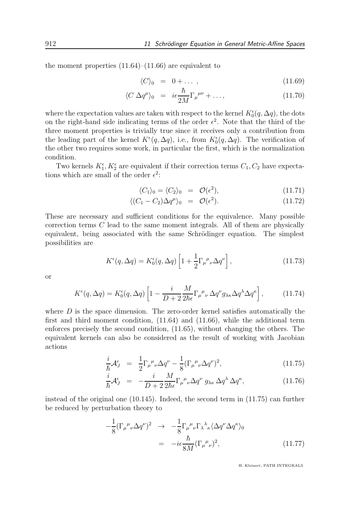the moment properties  $(11.64)$ – $(11.66)$  are equivalent to

$$
\langle C \rangle_0 = 0 + \dots \,, \tag{11.69}
$$

$$
\langle C \Delta q^{\mu} \rangle_0 = i\epsilon \frac{\hbar}{2M} \Gamma_{\mu}{}^{\mu\nu} + \dots,\tag{11.70}
$$

where the expectation values are taken with respect to the kernel  $K_0^{\epsilon}(q, \Delta q)$ , the dots on the right-hand side indicating terms of the order  $\epsilon^2$ . Note that the third of the three moment properties is trivially true since it receives only a contribution from the leading part of the kernel  $K^{\epsilon}(q, \Delta q)$ , i.e., from  $K^{\epsilon}_{0}(q, \Delta q)$ . The verification of the other two requires some work, in particular the first, which is the normalization condition.

Two kernels  $K_1^{\epsilon}$ ,  $K_2^{\epsilon}$  are equivalent if their correction terms  $C_1$ ,  $C_2$  have expectations which are small of the order  $\epsilon^2$ :

$$
\langle C_1 \rangle_0 = \langle C_2 \rangle_0 = \mathcal{O}(\epsilon^2), \qquad (11.71)
$$

$$
\langle (C_1 - C_2) \Delta q^{\mu} \rangle_0 = \mathcal{O}(\epsilon^2). \tag{11.72}
$$

These are necessary and sufficient conditions for the equivalence. Many possible correction terms C lead to the same moment integrals. All of them are physically equivalent, being associated with the same Schrödinger equation. The simplest possibilities are

$$
K^{\epsilon}(q,\Delta q) = K_0^{\epsilon}(q,\Delta q) \left[ 1 + \frac{1}{2} \Gamma_{\mu}{}^{\mu}{}_{\nu} \Delta q^{\nu} \right],\tag{11.73}
$$

or

$$
K^{\epsilon}(q,\Delta q) = K_0^{\epsilon}(q,\Delta q) \left[ 1 - \frac{i}{D+2} \frac{M}{2\hbar \epsilon} \Gamma_{\mu}{}^{\mu}{}_{\nu} \Delta q^{\nu} g_{\lambda \kappa} \Delta q^{\lambda} \Delta q^{\kappa} \right],\tag{11.74}
$$

where  $D$  is the space dimension. The zero-order kernel satisfies automatically the first and third moment condition, (11.64) and (11.66), while the additional term enforces precisely the second condition, (11.65), without changing the others. The equivalent kernels can also be considered as the result of working with Jacobian actions

$$
\frac{i}{\hbar} \mathcal{A}^{\epsilon}_{J} = \frac{1}{2} \Gamma_{\mu}{}^{\mu}{}_{\nu} \Delta q^{\nu} - \frac{1}{8} (\Gamma_{\mu}{}^{\mu}{}_{\nu} \Delta q^{\nu})^{2}, \qquad (11.75)
$$

$$
\frac{i}{\hbar} \mathcal{A}_{J}^{\epsilon} = -\frac{i}{D+2} \frac{M}{2\hbar \epsilon} \Gamma_{\mu}{}^{\mu}{}_{\nu} \Delta q^{\nu} \, g_{\lambda \kappa} \, \Delta q^{\lambda} \, \Delta q^{\kappa}, \tag{11.76}
$$

instead of the original one  $(10.145)$ . Indeed, the second term in  $(11.75)$  can further be reduced by perturbation theory to

$$
-\frac{1}{8}(\Gamma_{\mu}{}^{\mu}{}_{\nu}\Delta q^{\nu})^{2} \rightarrow -\frac{1}{8}\Gamma_{\mu}{}^{\mu}{}_{\nu}\Gamma_{\lambda}{}^{\lambda}{}_{\kappa}\langle\Delta q^{\nu}\Delta q^{\kappa}\rangle_{0}
$$

$$
= -i\epsilon \frac{\hbar}{8M}(\Gamma_{\mu}{}^{\mu}{}_{\nu})^{2}, \qquad (11.77)
$$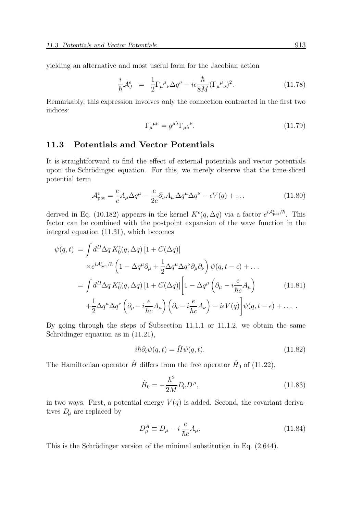yielding an alternative and most useful form for the Jacobian action

$$
\frac{i}{\hbar} \mathcal{A}_{J}^{\epsilon} = \frac{1}{2} \Gamma_{\mu}{}^{\mu}{}_{\nu} \Delta q^{\nu} - i \epsilon \frac{\hbar}{8M} (\Gamma_{\mu}{}^{\mu}{}_{\nu})^{2}.
$$
 (11.78)

Remarkably, this expression involves only the connection contracted in the first two indices:

$$
\Gamma_{\mu}{}^{\mu\nu} = g^{\mu\lambda} \Gamma_{\mu\lambda}{}^{\nu}.
$$
\n(11.79)

# 11.3 Potentials and Vector Potentials

It is straightforward to find the effect of external potentials and vector potentials upon the Schrödinger equation. For this, we merely observe that the time-sliced potential term

$$
\mathcal{A}_{\text{pot}}^{\epsilon} = \frac{e}{c} A_{\mu} \Delta q^{\mu} - \frac{e}{2c} \partial_{\nu} A_{\mu} \Delta q^{\mu} \Delta q^{\nu} - \epsilon V(q) + \dots \qquad (11.80)
$$

derived in Eq. (10.182) appears in the kernel  $K^{\epsilon}(q, \Delta q)$  via a factor  $e^{iA_{\rm pot}^{\epsilon}/\hbar}$ . This factor can be combined with the postpoint expansion of the wave function in the integral equation (11.31), which becomes

$$
\psi(q,t) = \int d^D \Delta q \, K_0^{\epsilon}(q, \Delta q) \left[ 1 + C(\Delta q) \right]
$$
  
\n
$$
\times e^{iA_{\text{pot}}^{\epsilon}/\hbar} \left( 1 - \Delta q^{\mu} \partial_{\mu} + \frac{1}{2} \Delta q^{\mu} \Delta q^{\nu} \partial_{\mu} \partial_{\nu} \right) \psi(q, t - \epsilon) + ...
$$
  
\n
$$
= \int d^D \Delta q \, K_0^{\epsilon}(q, \Delta q) \left[ 1 + C(\Delta q) \right] \left[ 1 - \Delta q^{\mu} \left( \partial_{\mu} - i \frac{e}{\hbar c} A_{\mu} \right) \right] \left( 11.81 \right)
$$
  
\n
$$
+ \frac{1}{2} \Delta q^{\mu} \Delta q^{\nu} \left( \partial_{\mu} - i \frac{e}{\hbar c} A_{\mu} \right) \left( \partial_{\nu} - i \frac{e}{\hbar c} A_{\nu} \right) - i\epsilon V(q) \right] \psi(q, t - \epsilon) + ...
$$

By going through the steps of Subsection 11.1.1 or 11.1.2, we obtain the same Schrödinger equation as in  $(11.21)$ ,

$$
i\hbar \partial_t \psi(q, t) = \hat{H}\psi(q, t). \tag{11.82}
$$

The Hamiltonian operator  $\hat{H}$  differs from the free operator  $\hat{H}_0$  of (11.22),

$$
\hat{H}_0 = -\frac{\hbar^2}{2M} D_\mu D^\mu,\tag{11.83}
$$

in two ways. First, a potential energy  $V(q)$  is added. Second, the covariant derivatives  $D_{\mu}$  are replaced by

$$
D_{\mu}^{A} \equiv D_{\mu} - i \frac{e}{\hbar c} A_{\mu}.
$$
\n(11.84)

This is the Schrödinger version of the minimal substitution in Eq.  $(2.644)$ .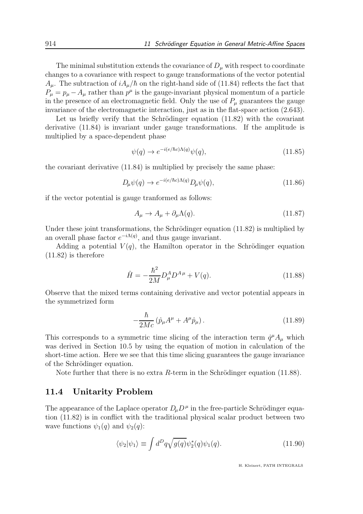The minimal substitution extends the covariance of  $D_{\mu}$  with respect to coordinate changes to a covariance with respect to gauge transformations of the vector potential  $A_{\mu}$ . The subtraction of  $iA_{\mu}/\hbar$  on the right-hand side of (11.84) reflects the fact that  $P_{\mu} = p_{\mu} - A_{\mu}$  rather than  $p^{\mu}$  is the gauge-invariant physical momentum of a particle in the presence of an electromagnetic field. Only the use of  $P_\mu$  guarantees the gauge invariance of the electromagnetic interaction, just as in the flat-space action (2.643).

Let us briefly verify that the Schrödinger equation  $(11.82)$  with the covariant derivative (11.84) is invariant under gauge transformations. If the amplitude is multiplied by a space-dependent phase

$$
\psi(q) \to e^{-i(e/\hbar c)\Lambda(q)}\psi(q),\tag{11.85}
$$

the covariant derivative (11.84) is multiplied by precisely the same phase:

$$
D_{\mu}\psi(q) \to e^{-i(e/\hbar c)\Lambda(q)} D_{\mu}\psi(q), \qquad (11.86)
$$

if the vector potential is gauge tranformed as follows:

$$
A_{\mu} \to A_{\mu} + \partial_{\mu} \Lambda(q). \tag{11.87}
$$

Under these joint transformations, the Schrödinger equation  $(11.82)$  is multiplied by an overall phase factor  $e^{-i\Lambda(q)}$ , and thus gauge invariant.

Adding a potential  $V(q)$ , the Hamilton operator in the Schrödinger equation (11.82) is therefore

$$
\hat{H} = -\frac{\hbar^2}{2M} D^A_\mu D^{A\mu} + V(q). \tag{11.88}
$$

Observe that the mixed terms containing derivative and vector potential appears in the symmetrized form

$$
-\frac{\hbar}{2Mc} \left( \hat{p}_{\mu} A^{\mu} + A^{\mu} \hat{p}_{\mu} \right).
$$
 (11.89)

This corresponds to a symmetric time slicing of the interaction term  $\dot{q}^{\mu}A_{\mu}$  which was derived in Section 10.5 by using the equation of motion in calculation of the short-time action. Here we see that this time slicing guarantees the gauge invariance of the Schrödinger equation.

Note further that there is no extra  $R$ -term in the Schrödinger equation (11.88).

# 11.4 Unitarity Problem

The appearance of the Laplace operator  $D_{\mu}D^{\mu}$  in the free-particle Schrödinger equation (11.82) is in conflict with the traditional physical scalar product between two wave functions  $\psi_1(q)$  and  $\psi_2(q)$ :

$$
\langle \psi_2 | \psi_1 \rangle \equiv \int d^D q \sqrt{g(q)} \psi_2^*(q) \psi_1(q). \tag{11.90}
$$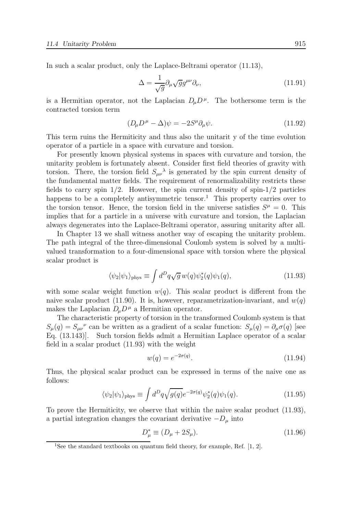In such a scalar product, only the Laplace-Beltrami operator (11.13),

$$
\Delta = \frac{1}{\sqrt{g}} \partial_{\mu} \sqrt{g} g^{\mu \nu} \partial_{\nu},\tag{11.91}
$$

is a Hermitian operator, not the Laplacian  $D_{\mu}D^{\mu}$ . The bothersome term is the contracted torsion term

$$
(D_{\mu}D^{\mu} - \Delta)\psi = -2S^{\mu}\partial_{\mu}\psi.
$$
\n(11.92)

This term ruins the Hermiticity and thus also the unitarit y of the time evolution operator of a particle in a space with curvature and torsion.

For presently known physical systems in spaces with curvature and torsion, the unitarity problem is fortunately absent. Consider first field theories of gravity with torsion. There, the torsion field  $S_{\mu\nu}{}^{\lambda}$  is generated by the spin current density of the fundamental matter fields. The requirement of renormalizability restricts these fields to carry spin  $1/2$ . However, the spin current density of spin- $1/2$  particles happens to be a completely antisymmetric tensor.<sup>1</sup> This property carries over to the torsion tensor. Hence, the torsion field in the universe satisfies  $S^{\mu} = 0$ . This implies that for a particle in a universe with curvature and torsion, the Laplacian always degenerates into the Laplace-Beltrami operator, assuring unitarity after all.

In Chapter 13 we shall witness another way of escaping the unitarity problem. The path integral of the three-dimensional Coulomb system is solved by a multivalued transformation to a four-dimensional space with torsion where the physical scalar product is

$$
\langle \psi_2 | \psi_1 \rangle_{\text{phys}} \equiv \int d^D q \sqrt{g} w(q) \psi_2^*(q) \psi_1(q), \qquad (11.93)
$$

with some scalar weight function  $w(q)$ . This scalar product is different from the naive scalar product (11.90). It is, however, reparametrization-invariant, and  $w(q)$ makes the Laplacian  $D_{\mu}D^{\mu}$  a Hermitian operator.

The characteristic property of torsion in the transformed Coulomb system is that  $S_{\mu}(q) = S_{\mu\nu}^{\ \ \nu}$  can be written as a gradient of a scalar function:  $S_{\mu}(q) = \partial_{\mu}\sigma(q)$  [see Eq. (13.143)]. Such torsion fields admit a Hermitian Laplace operator of a scalar field in a scalar product (11.93) with the weight

$$
w(q) = e^{-2\sigma(q)}.
$$
\n(11.94)

Thus, the physical scalar product can be expressed in terms of the naive one as follows:

$$
\langle \psi_2 | \psi_1 \rangle_{\text{phys}} \equiv \int d^D q \sqrt{g(q)} e^{-2\sigma(q)} \psi_2^*(q) \psi_1(q). \tag{11.95}
$$

To prove the Hermiticity, we observe that within the naive scalar product (11.93), a partial integration changes the covariant derivative  $-D_{\mu}$  into

$$
D_{\mu}^{*} \equiv (D_{\mu} + 2S_{\mu}). \tag{11.96}
$$

<sup>&</sup>lt;sup>1</sup>See the standard textbooks on quantum field theory, for example, Ref.  $[1, 2]$ .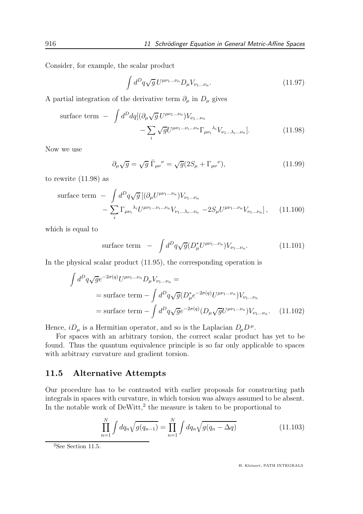Consider, for example, the scalar product

$$
\int d^D q \sqrt{g} \, U^{\mu \nu_1 \dots \nu_n} D_{\mu} V_{\nu_1 \dots \nu_n}.
$$
\n(11.97)

A partial integration of the derivative term  $\partial_{\mu}$  in  $D_{\mu}$  gives

surface term 
$$
- \int d^D dq [(\partial_\mu \sqrt{g} U^{\mu\nu_1...\nu_n}) V_{\nu_1...\nu_n} - \sum_i \sqrt{g} U^{\mu\nu_1...\nu_n} \Gamma_{\mu\nu_i}{}^{\lambda_i} V_{\nu_1...\lambda_i...\nu_n}].
$$
 (11.98)

Now we use

$$
\partial_{\mu}\sqrt{g} = \sqrt{g}\,\overline{\Gamma}_{\mu\nu}{}^{\nu} = \sqrt{g}(2S_{\mu} + \Gamma_{\mu\nu}{}^{\nu}),\tag{11.99}
$$

to rewrite (11.98) as

surface term 
$$
- \int d^D q \sqrt{g} \left[ (\partial_\mu U^{\mu\nu_1...\nu_n}) V_{\nu_1...\nu_n} - \sum_i \Gamma_{\mu\nu_i}{}^{\lambda_i} U^{\mu\nu_1...\nu_i...\nu_n} V_{\nu_1...\lambda_i...\nu_n} - 2S_\mu U^{\mu\nu_1...\nu_n} V_{\nu_1...\nu_n} \right], \quad (11.100)
$$

which is equal to

surface term 
$$
-\int d^D q \sqrt{g} (D^*_{\mu} U^{\mu\nu_1...\nu_n}) V_{\nu_1...\nu_n}.
$$
 (11.101)

In the physical scalar product (11.95), the corresponding operation is

$$
\int d^D q \sqrt{g} e^{-2\sigma(q)} U^{\mu\nu_1...\nu_n} D_{\mu} V_{\nu_1...\nu_n} =
$$
\n
$$
= \text{surface term} - \int d^D q \sqrt{g} (D_{\mu}^* e^{-2\sigma(q)} U^{\mu\nu_1...\nu_n}) V_{\nu_1...\nu_n}
$$
\n
$$
= \text{surface term} - \int d^D q \sqrt{g} e^{-2\sigma(q)} (D_{\mu} \sqrt{g} U^{\mu\nu_1...\nu_n}) V_{\nu_1...\nu_n}.
$$
\n(11.102)

Hence,  $iD_{\mu}$  is a Hermitian operator, and so is the Laplacian  $D_{\mu}D^{\mu}$ .

For spaces with an arbitrary torsion, the correct scalar product has yet to be found. Thus the quantum equivalence principle is so far only applicable to spaces with arbitrary curvature and gradient torsion.

## 11.5 Alternative Attempts

Our procedure has to be contrasted with earlier proposals for constructing path integrals in spaces with curvature, in which torsion was always assumed to be absent. In the notable work of  $DeWitt$ <sup>2</sup>, the measure is taken to be proportional to

$$
\prod_{n=1}^{N} \int dq_n \sqrt{g(q_{n-1})} = \prod_{n=1}^{N} \int dq_n \sqrt{g(q_n - \Delta q)}
$$
\n(11.103)

 $2$ See Section 11.5.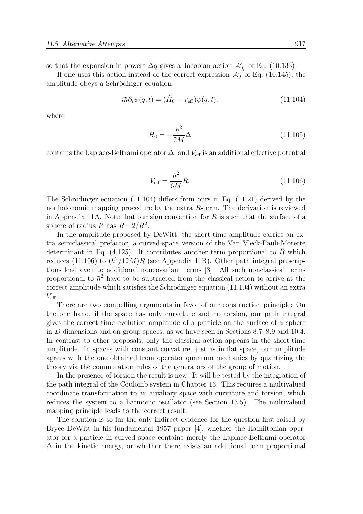so that the expansion in powers  $\Delta q$  gives a Jacobian action  $\mathcal{A}_{\bar{J}_0}^{\epsilon}$  of Eq. (10.133).

If one uses this action instead of the correct expression  $\mathcal{A}_{J}^{\epsilon}$  of Eq. (10.145), the amplitude obeys a Schrödinger equation

$$
i\hbar \partial_t \psi(q, t) = (\hat{H}_0 + V_{\text{eff}})\psi(q, t), \qquad (11.104)
$$

where

$$
\hat{H}_0 = -\frac{\hbar^2}{2M}\Delta\tag{11.105}
$$

contains the Laplace-Beltrami operator  $\Delta$ , and  $V_{\text{eff}}$  is an additional effective potential

$$
V_{\text{eff}} = \frac{\hbar^2}{6M}\bar{R}.
$$
 (11.106)

The Schrödinger equation  $(11.104)$  differs from ours in Eq.  $(11.21)$  derived by the nonholonomic mapping procedure by the extra R-term. The derivation is reviewed in Appendix 11A. Note that our sign convention for  $\bar{R}$  is such that the surface of a sphere of radius R has  $\bar{R}$  = 2/R<sup>2</sup>.

In the amplitude proposed by DeWitt, the short-time amplitude carries an extra semiclassical prefactor, a curved-space version of the Van Vleck-Pauli-Morette determinant in Eq. (4.125). It contributes another term proportional to  $\overline{R}$  which reduces (11.106) to  $(\hbar^2/12M)\bar{R}$  (see Appendix 11B). Other path integral prescriptions lead even to additional noncovariant terms [3]. All such nonclassical terms proportional to  $\hbar^2$  have to be subtracted from the classical action to arrive at the correct amplitude which satisfies the Schrödinger equation  $(11.104)$  without an extra  $V_{\text{eff}}$ .

There are two compelling arguments in favor of our construction principle: On the one hand, if the space has only curvature and no torsion, our path integral gives the correct time evolution amplitude of a particle on the surface of a sphere in D dimensions and on group spaces, as we have seen in Sections 8.7–8.9 and 10.4. In contrast to other proposals, only the classical action appears in the short-time amplitude. In spaces with constant curvature, just as in flat space, our amplitude agrees with the one obtained from operator quantum mechanics by quantizing the theory via the commutation rules of the generators of the group of motion.

In the presence of torsion the result is new. It will be tested by the integration of the path integral of the Coulomb system in Chapter 13. This requires a multivalued coordinate transformation to an auxiliary space with curvature and torsion, which reduces the system to a harmonic oscillator (see Section 13.5). The multivaleud mapping principle leads to the correct result.

The solution is so far the only indirect evidence for the question first raised by Bryce DeWitt in his fundamental 1957 paper [4], whether the Hamiltonian operator for a particle in curved space contains merely the Laplace-Beltrami operator  $\Delta$  in the kinetic energy, or whether there exists an additional term proportional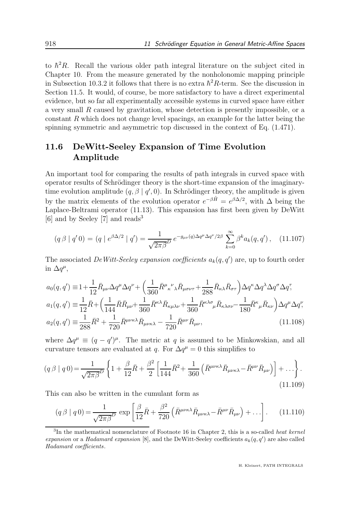to  $\hbar^2 R$ . Recall the various older path integral literature on the subject cited in Chapter 10. From the measure generated by the nonholonomic mapping principle in Subsection 10.3.2 it follows that there is no extra  $\hbar^2 R$ -term. See the discussion in Section 11.5. It would, of course, be more satisfactory to have a direct experimental evidence, but so far all experimentally accessible systems in curved space have either a very small R caused by gravitation, whose detection is presently impossible, or a constant  $R$  which does not change level spacings, an example for the latter being the spinning symmetric and asymmetric top discussed in the context of Eq. (1.471).

# 11.6 DeWitt-Seeley Expansion of Time Evolution Amplitude

An important tool for comparing the results of path integrals in curved space with operator results of Schrödinger theory is the short-time expansion of the imaginarytime evolution amplitude  $(q, \beta | q', 0)$ . In Schrödinger theory, the amplitude is given by the matrix elements of the evolution operator  $e^{-\beta \hat{H}} = e^{\beta \Delta/2}$ , with  $\Delta$  being the Laplace-Beltrami operator (11.13). This expansion has first been given by DeWitt [6] and by Seeley [7] and reads<sup>3</sup>

$$
(q \beta \mid q' 0) = (q \mid e^{\beta \Delta/2} \mid q') = \frac{1}{\sqrt{2\pi\beta^D}} e^{-g_{\mu\nu}(q)\Delta q^{\mu}\Delta q^{\nu}/2\beta} \sum_{k=0}^{\infty} \beta^k a_k(q, q'), \quad (11.107)
$$

The associated DeWitt-Seeley expansion coefficients  $a_k(q, q')$  are, up to fourth order in  $\Delta q^{\mu}$ ,

$$
a_0(q,q') \equiv 1 + \frac{1}{12} \bar{R}_{\mu\nu} \Delta q^{\mu} \Delta q^{\nu} + \left(\frac{1}{360} \bar{R}^{\mu}{}_{\kappa}{}^{\nu}{}_{\lambda} \bar{R}_{\mu\sigma\nu\tau} + \frac{1}{288} \bar{R}_{\kappa\lambda} \bar{R}_{\sigma\tau}\right) \Delta q^{\kappa} \Delta q^{\lambda} \Delta q^{\sigma} \Delta q^{\tau},
$$
  
\n
$$
a_1(q,q') \equiv \frac{1}{12} \bar{R} + \left(\frac{1}{144} \bar{R} \bar{R}_{\mu\nu} + \frac{1}{360} \bar{R}^{\kappa\lambda} \bar{R}_{\kappa\mu\lambda\nu} + \frac{1}{360} \bar{R}^{\kappa\lambda\sigma}{}_{\mu} \bar{R}_{\kappa\lambda\sigma\nu} - \frac{1}{180} \bar{R}^{\kappa}{}_{\mu} \bar{R}_{\kappa\nu}\right) \Delta q^{\mu} \Delta q^{\nu},
$$
  
\n
$$
a_2(q,q') \equiv \frac{1}{288} \bar{R}^2 + \frac{1}{720} \bar{R}^{\mu\nu\kappa\lambda} \bar{R}_{\mu\nu\kappa\lambda} - \frac{1}{720} \bar{R}^{\mu\nu} \bar{R}_{\mu\nu},
$$
\n(11.108)

where  $\Delta q^{\mu} \equiv (q - q^{\prime})^{\mu}$ . The metric at q is assumed to be Minkowskian, and all curvature tensors are evaluated at q. For  $\Delta q^{\mu} = 0$  this simplifies to

$$
(q\,\beta \mid q\,0) = \frac{1}{\sqrt{2\pi\beta}^D} \left\{ 1 + \frac{\beta}{12} \bar{R} + \frac{\beta^2}{2} \left[ \frac{1}{144} \bar{R}^2 + \frac{1}{360} \left( \bar{R}^{\mu\nu\kappa\lambda} \bar{R}_{\mu\nu\kappa\lambda} - \bar{R}^{\mu\nu} \bar{R}_{\mu\nu} \right) \right] + \dots \right\}.
$$
\n(11.109)

This can also be written in the cumulant form as

$$
(q\beta \mid q0) = \frac{1}{\sqrt{2\pi\beta^D}} \exp\left[\frac{\beta}{12}\bar{R} + \frac{\beta^2}{720}\left(\bar{R}^{\mu\nu\kappa\lambda}\bar{R}_{\mu\nu\kappa\lambda} - \bar{R}^{\mu\nu}\bar{R}_{\mu\nu}\right) + \dots\right].
$$
 (11.110)

<sup>&</sup>lt;sup>3</sup>In the mathematical nomenclature of Footnote 16 in Chapter 2, this is a so-called *heat kernel* expansion or a Hadamard expansion [8], and the DeWitt-Seeley coefficients  $a_k(q, q')$  are also called Hadamard coefficients.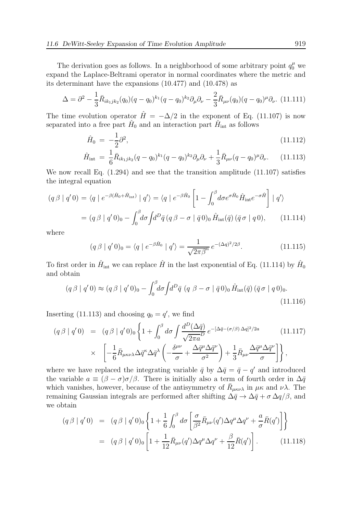$$
\Delta = \partial^2 - \frac{1}{3}\bar{R}_{ik_1jk_2}(q_0)(q-q_0)^{k_1}(q-q_0)^{k_2}\partial_\mu\partial_\nu - \frac{2}{3}\bar{R}_{\mu\nu}(q_0)(q-q_0)^\mu\partial_\nu.
$$
 (11.111)

The time evolution operator  $\hat{H} = -\Delta/2$  in the exponent of Eq. (11.107) is now separated into a free part  $\hat{H}_0$  and an interaction part  $\hat{H}_{int}$  as follows

$$
\hat{H}_0 = -\frac{1}{2}\partial^2,\tag{11.112}
$$

$$
\hat{H}_{\text{int}} = \frac{1}{6} \bar{R}_{ik_1jk_2} (q - q_0)^{k_1} (q - q_0)^{k_2} \partial_\mu \partial_\nu + \frac{1}{3} \bar{R}_{\mu\nu} (q - q_0)^\mu \partial_\nu. \tag{11.113}
$$

We now recall Eq. (1.294) and see that the transition amplitude (11.107) satisfies the integral equation

$$
(q\beta \mid q'0) = \langle q \mid e^{-\beta(\hat{H}_0 + \hat{H}_{int})} \mid q' \rangle = \langle q \mid e^{-\beta \hat{H}_0} \left[ 1 - \int_0^\beta d\sigma e^{\sigma \hat{H}_0} \hat{H}_{int} e^{-\sigma \hat{H}} \right] \mid q' \rangle
$$
  
= 
$$
(q\beta \mid q'0)_0 - \int_0^\beta d\sigma \int d^D \bar{q} (q\beta - \sigma \mid \bar{q}0)_0 \hat{H}_{int}(\bar{q}) (\bar{q}\sigma \mid q0), \qquad (11.114)
$$

where

$$
(q \beta \mid q' 0)_0 = \langle q \mid e^{-\beta \hat{H}_0} \mid q' \rangle = \frac{1}{\sqrt{2\pi\beta}^n} e^{-(\Delta q)^2/2\beta}.
$$
 (11.115)

To first order in  $\hat{H}_{\text{int}}$  we can replace  $\hat{H}$  in the last exponential of Eq. (11.114) by  $\hat{H}_0$ and obtain

$$
(q \beta \mid q' 0) \approx (q \beta \mid q' 0)_0 - \int_0^\beta d\sigma \int d^D \bar{q} \ (q \ \beta - \sigma \mid \bar{q} \ 0)_0 \ \hat{H}_{\rm int}(\bar{q}) \ (\bar{q} \sigma \mid q \ 0)_0. \tag{11.116}
$$

Inserting (11.113) and choosing  $q_0 = q'$ , we find

$$
(q\beta \mid q'0) = (q\beta \mid q'0)_0 \left\{ 1 + \int_0^\beta d\sigma \int \frac{d^D(\Delta \bar{q})}{\sqrt{2\pi a}} e^{-[\Delta \bar{q} - (\sigma/\beta)\Delta q]^2/2a} \right\} \times \left[ -\frac{1}{6} \bar{R}_{\mu\kappa\nu\lambda} \Delta \bar{q}^\kappa \Delta \bar{q}^\lambda \left( -\frac{\delta^{\mu\nu}}{\sigma} + \frac{\Delta \bar{q}^\mu \Delta \bar{q}^\nu}{\sigma^2} \right) + \frac{1}{3} \bar{R}_{\mu\nu} \frac{\Delta \bar{q}^\mu \Delta \bar{q}^\nu}{\sigma} \right] \right\},
$$
\n(11.117)

where we have replaced the integrating variable  $\bar{q}$  by  $\Delta \bar{q} = \bar{q} - q'$  and introduced the variable  $a \equiv (\beta - \sigma)\sigma/\beta$ . There is initially also a term of fourth order in  $\Delta \bar{q}$ which vanishes, however, because of the antisymmetry of  $\bar{R}_{\mu\kappa\nu\lambda}$  in  $\mu\kappa$  and  $\nu\lambda$ . The remaining Gaussian integrals are performed after shifting  $\Delta \bar{q} \to \Delta \bar{q} + \sigma \Delta q/\beta$ , and we obtain

$$
(q \beta | q' 0) = (q \beta | q' 0)_0 \left\{ 1 + \frac{1}{6} \int_0^\beta d\sigma \left[ \frac{\sigma}{\beta^2} \bar{R}_{\mu\nu}(q') \Delta q^\mu \Delta q^\nu + \frac{a}{\sigma} \bar{R}(q') \right] \right\}
$$
  
= 
$$
(q \beta | q' 0)_0 \left[ 1 + \frac{1}{12} \bar{R}_{\mu\nu}(q') \Delta q^\mu \Delta q^\nu + \frac{\beta}{12} \bar{R}(q') \right].
$$
 (11.118)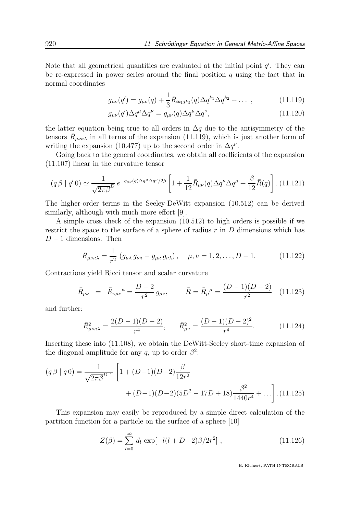Note that all geometrical quantities are evaluated at the initial point  $q'$ . They can be re-expressed in power series around the final position  $q$  using the fact that in normal coordinates

$$
g_{\mu\nu}(q') = g_{\mu\nu}(q) + \frac{1}{3}\bar{R}_{ik_1jk_2}(q)\Delta q^{k_1}\Delta q^{k_2} + \dots \,, \tag{11.119}
$$

$$
g_{\mu\nu}(q')\Delta q^{\mu}\Delta q^{\nu} = g_{\mu\nu}(q)\Delta q^{\mu}\Delta q^{\nu},\qquad(11.120)
$$

the latter equation being true to all orders in  $\Delta q$  due to the antisymmetry of the tensors  $\bar{R}_{\mu\nu\kappa\lambda}$  in all terms of the expansion (11.119), which is just another form of writing the expansion (10.477) up to the second order in  $\Delta q^{\mu}$ .

Going back to the general coordinates, we obtain all coefficients of the expansion (11.107) linear in the curvature tensor

$$
(q\beta \mid q'0) \simeq \frac{1}{\sqrt{2\pi\beta^D}} e^{-g_{\mu\nu}(q)\Delta q^{\mu}\Delta q^{\nu}/2\beta} \left[1 + \frac{1}{12}\bar{R}_{\mu\nu}(q)\Delta q^{\mu}\Delta q^{\mu} + \frac{\beta}{12}\bar{R}(q)\right].
$$
 (11.121)

The higher-order terms in the Seeley-DeWitt expansion (10.512) can be derived similarly, although with much more effort [9].

A simple cross check of the expansion (10.512) to high orders is possible if we restrict the space to the surface of a sphere of radius  $r$  in  $D$  dimensions which has  $D-1$  dimensions. Then

$$
\bar{R}_{\mu\nu\kappa\lambda} = \frac{1}{r^2} \left( g_{\mu\lambda} \, g_{\nu\kappa} - g_{\mu\kappa} \, g_{\nu\lambda} \right), \quad \mu, \nu = 1, 2, \dots, D - 1. \tag{11.122}
$$

Contractions yield Ricci tensor and scalar curvature

$$
\bar{R}_{\mu\nu} = \bar{R}_{\kappa\mu\nu}{}^{\kappa} = \frac{D-2}{r^2} g_{\mu\nu}, \qquad \bar{R} = \bar{R}_{\mu}{}^{\mu} = \frac{(D-1)(D-2)}{r^2} \quad (11.123)
$$

and further:

$$
\bar{R}^2_{\mu\nu\kappa\lambda} = \frac{2(D-1)(D-2)}{r^4}, \qquad \bar{R}^2_{\mu\nu} = \frac{(D-1)(D-2)^2}{r^4}.
$$
 (11.124)

Inserting these into (11.108), we obtain the DeWitt-Seeley short-time expansion of the diagonal amplitude for any q, up to order  $\beta^2$ :

$$
(q\beta \mid q0) = \frac{1}{\sqrt{2\pi\beta^{D-1}}} \left[ 1 + (D-1)(D-2)\frac{\beta}{12r^2} + (D-1)(D-2)(5D^2 - 17D + 18)\frac{\beta^2}{1440r^4} + \ldots \right]. (11.125)
$$

This expansion may easily be reproduced by a simple direct calculation of the partition function for a particle on the surface of a sphere [10]

$$
Z(\beta) = \sum_{l=0}^{\infty} d_l \exp[-l(l+D-2)\beta/2r^2], \qquad (11.126)
$$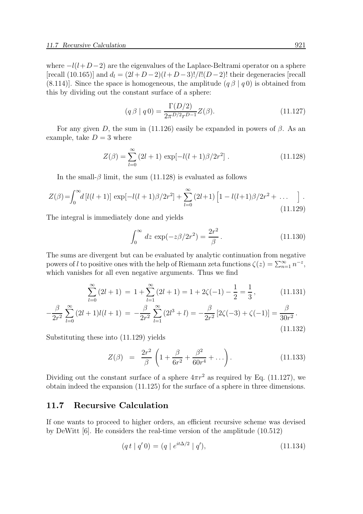where  $-l(l+D-2)$  are the eigenvalues of the Laplace-Beltrami operator on a sphere [recall (10.165)] and  $d_l = (2l+D-2)(l+D-3)!/l!(D-2)!$  their degeneracies [recall (8.114)]. Since the space is homogeneous, the amplitude  $(q \beta | q 0)$  is obtained from this by dividing out the constant surface of a sphere:

$$
(q\,\beta \mid q\,0) = \frac{\Gamma(D/2)}{2\pi^{D/2}r^{D-1}}Z(\beta). \tag{11.127}
$$

For any given D, the sum in (11.126) easily be expanded in powers of  $\beta$ . As an example, take  $D = 3$  where

$$
Z(\beta) = \sum_{l=0}^{\infty} (2l+1) \exp[-l(l+1)\beta/2r^2].
$$
 (11.128)

In the small- $\beta$  limit, the sum (11.128) is evaluated as follows

$$
Z(\beta) = \int_0^\infty d\left[l(l+1)\right] \exp\left[-l(l+1)\beta/2r^2\right] + \sum_{l=0}^\infty (2l+1) \left[1 - l(l+1)\beta/2r^2 + \dots \right].
$$
\n(11.129)

The integral is immediately done and yields

$$
\int_0^\infty dz \, \exp(-z\beta/2r^2) = \frac{2r^2}{\beta}.
$$
 (11.130)

The sums are divergent but can be evaluated by analytic continuation from negative powers of l to positive ones with the help of Riemann zeta functions  $\zeta(z) = \sum_{n=1}^{\infty} n^{-z}$ , which vanishes for all even negative arguments. Thus we find

$$
\sum_{l=0}^{\infty} (2l+1) = 1 + \sum_{l=1}^{\infty} (2l+1) = 1 + 2\zeta(-1) - \frac{1}{2} = \frac{1}{3},
$$
 (11.131)

$$
-\frac{\beta}{2r^2} \sum_{l=0}^{\infty} (2l+1)l(l+1) = -\frac{\beta}{2r^2} \sum_{l=1}^{\infty} (2l^3+l) = -\frac{\beta}{2r^2} [2\zeta(-3) + \zeta(-1)] = \frac{\beta}{30r^2}.
$$
\n(11.132)

Substituting these into (11.129) yields

$$
Z(\beta) = \frac{2r^2}{\beta} \left( 1 + \frac{\beta}{6r^2} + \frac{\beta^2}{60r^4} + \ldots \right). \tag{11.133}
$$

Dividing out the constant surface of a sphere  $4\pi r^2$  as required by Eq. (11.127), we obtain indeed the expansion (11.125) for the surface of a sphere in three dimensions.

# 11.7 Recursive Calculation

If one wants to proceed to higher orders, an efficient recursive scheme was devised by DeWitt [6]. He considers the real-time version of the amplitude (10.512)

$$
(q t | q' 0) = (q | e^{it\Delta/2} | q'), \qquad (11.134)
$$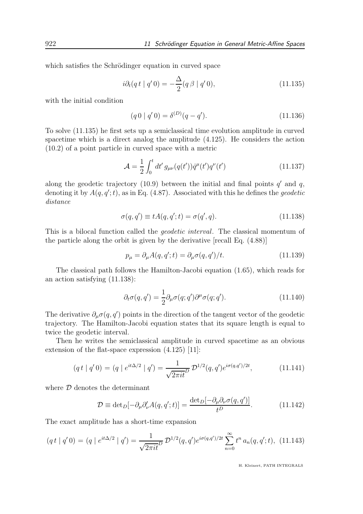which satisfies the Schrödinger equation in curved space

$$
i\partial_t(q t \mid q' 0) = -\frac{\Delta}{2}(q \beta \mid q' 0), \qquad (11.135)
$$

with the initial condition

$$
(q \ 0 \mid q' \ 0) = \delta^{(D)}(q - q'). \tag{11.136}
$$

To solve (11.135) he first sets up a semiclassical time evolution amplitude in curved spacetime which is a direct analog the amplitude (4.125). He considers the action (10.2) of a point particle in curved space with a metric

$$
\mathcal{A} = \frac{1}{2} \int_0^t dt' \, g_{\mu\nu}(q(t')) \dot{q}^\mu(t') q^\nu(t')
$$
\n(11.137)

along the geodetic trajectory  $(10.9)$  between the initial and final points  $q'$  and  $q$ , denoting it by  $A(q, q';t)$ , as in Eq. (4.87). Associated with this he defines the *geodetic* distance

$$
\sigma(q, q') \equiv tA(q, q'; t) = \sigma(q', q). \tag{11.138}
$$

This is a bilocal function called the geodetic interval. The classical momentum of the particle along the orbit is given by the derivative [recall Eq. (4.88)]

$$
p_{\mu} = \partial_{\mu} A(q, q'; t) = \partial_{\mu} \sigma(q, q') / t.
$$
 (11.139)

The classical path follows the Hamilton-Jacobi equation (1.65), which reads for an action satisfying (11.138):

$$
\partial_t \sigma(q, q') = \frac{1}{2} \partial_\mu \sigma(q; q') \partial^\mu \sigma(q; q'). \tag{11.140}
$$

The derivative  $\partial_{\mu}\sigma(q,q')$  points in the direction of the tangent vector of the geodetic trajectory. The Hamilton-Jacobi equation states that its square length is equal to twice the geodetic interval.

Then he writes the semiclassical amplitude in curved spacetime as an obvious extension of the flat-space expression (4.125) [11]:

$$
(q t | q' 0) = (q | e^{it\Delta/2} | q') = \frac{1}{\sqrt{2\pi i t^D}} \mathcal{D}^{1/2}(q, q') e^{i\sigma(q, q')/2t}, \qquad (11.141)
$$

where  $D$  denotes the determinant

$$
\mathcal{D} \equiv \det_D[-\partial_\mu \partial'_\nu A(q, q'; t)] = \frac{\det_D[-\partial_\mu \partial_\nu \sigma(q, q')] }{t^D}.
$$
 (11.142)

The exact amplitude has a short-time expansion

$$
(q t | q' 0) = (q | e^{it\Delta/2} | q') = \frac{1}{\sqrt{2\pi i t^D}} \mathcal{D}^{1/2}(q, q') e^{i\sigma(q, q')/2t} \sum_{n=0}^{\infty} t^n a_n(q, q'; t), \tag{11.143}
$$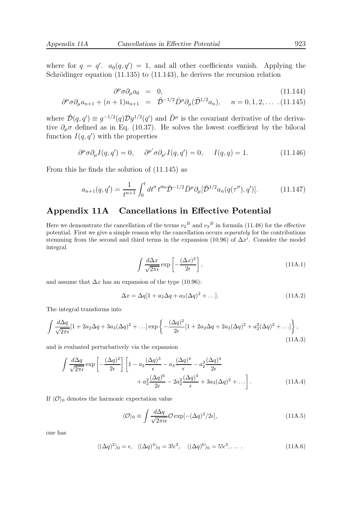where for  $q = q'$ .  $a_0(q, q') = 1$ , and all other coefficients vanish. Applying the Schrödinger equation  $(11.135)$  to  $(11.143)$ , he derives the recursion relation

$$
\partial^{\mu}\sigma \partial_{\mu} a_0 = 0, \qquad (11.144)
$$

$$
\partial^{\mu}\sigma \partial_{\mu} a_{n+1} + (n+1)a_{n+1} = \tilde{\mathcal{D}}^{-1/2} \bar{D}^{\mu} \partial_{\mu} (\tilde{\mathcal{D}}^{1/2} a_n), \quad n = 0, 1, 2, \dots \tag{11.145}
$$

where  $\tilde{\mathcal{D}}(q, q') \equiv g^{-1/2}(q) \mathcal{D} g^{1/2}(q')$  and  $\bar{D}^{\mu}$  is the covariant derivative of the derivative  $\partial_{\mu}\sigma$  defined as in Eq. (10.37). He solves the lowest coefficient by the bilocal function  $I(q, q')$  with the properties

$$
\partial^{\mu}\sigma \partial_{\mu} I(q, q') = 0, \quad \partial^{\mu'} \sigma \partial_{\mu'} I(q, q') = 0, \quad I(q, q) = 1. \tag{11.146}
$$

From this he finds the solution of (11.145) as

$$
a_{n+1}(q,q') = \frac{1}{t^{n+1}} \int_0^t dt'' \, t''^n \tilde{\mathcal{D}}^{-1/2} \bar{D}^\mu \partial_\mu [\tilde{\mathcal{D}}^{1/2} a_n(q(\tau''), q')]. \tag{11.147}
$$

# Appendix 11A Cancellations in Effective Potential

Here we demonstrate the cancellation of the terms  $v_2^B$  and  $v_3^B$  in formula (11.48) for the effective potential. First we give a simple reason why the cancellation occurs separately for the contributions stemming from the second and third terms in the expansion (10.96) of  $\Delta x^i$ . Consider the model integral

$$
\int \frac{d\Delta x}{\sqrt{2\pi\epsilon}} \exp\left[-\frac{(\Delta x)^2}{2\epsilon}\right],
$$
\n(11A.1)

and assume that  $\Delta x$  has an expansion of the type (10.96):

$$
\Delta x = \Delta q[1 + a_2 \Delta q + a_3 (\Delta q)^2 + \ldots]. \tag{11A.2}
$$

The integral transforms into

$$
\int \frac{d\Delta q}{\sqrt{2\pi\epsilon}} [1 + 2a_2 \Delta q + 3a_3 (\Delta q)^2 + \ldots] \exp \left\{ -\frac{(\Delta q)^2}{2\epsilon} [1 + 2a_2 \Delta q + 2a_3 (\Delta q)^2 + a_2^2 (\Delta q)^2 + \ldots] \right\},\tag{11A.3}
$$

and is evaluated perturbatively via the expansion

$$
\int \frac{d\Delta q}{\sqrt{2\pi\epsilon}} \exp\left[-\frac{(\Delta q)^2}{2\epsilon}\right] \left[1 - a_2 \frac{(\Delta q)^3}{\epsilon} - a_3 \frac{(\Delta q)^4}{\epsilon} - a_2^2 \frac{(\Delta q)^4}{2\epsilon} + a_2^2 \frac{(\Delta q)^6}{2\epsilon} - 2a_2^2 \frac{(\Delta q)^4}{\epsilon} + 3a_3(\Delta q)^2 + \ldots\right].
$$
\n(11A.4)

If  $\langle \mathcal{O} \rangle_0$  denotes the harmonic expectation value

$$
\langle \mathcal{O} \rangle_0 \equiv \int \frac{d\Delta q}{\sqrt{2\pi i\epsilon}} \mathcal{O} \exp[-(\Delta q)^2/2\epsilon], \qquad (11A.5)
$$

one has

$$
\langle (\Delta q)^2 \rangle_0 = \epsilon, \quad \langle (\Delta q)^4 \rangle_0 = 3! \epsilon^2, \quad \langle (\Delta q)^6 \rangle_0 = 5! \epsilon^3, \dots \tag{11A.6}
$$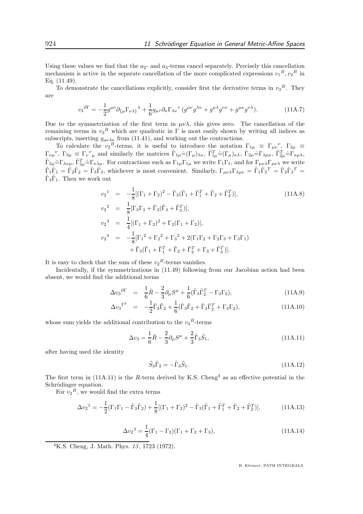Using these values we find that the  $a_2$ - and  $a_3$ -terms cancel separately. Precisely this cancellation mechanism is active in the separate cancellation of the more complicated expressions  $v_1^B, v_2^B$  in Eq. (11.49).

To demonstrate the cancellations explicitly, consider first the derivative terms in  $v_3^B$ . They are

$$
v_3^{\partial \Gamma} = -\frac{1}{2} g^{\mu\nu} \partial_{\{\mu} \Gamma_{\nu\lambda\}}{}^{\lambda} + \frac{1}{6} g_{\mu\tau} \partial_{\kappa} \Gamma_{\lambda\nu}{}^{\tau} (g^{\mu\nu} g^{\lambda\kappa} + g^{\mu\lambda} g^{\nu\kappa} + g^{\mu\kappa} g^{\nu\lambda}). \tag{11A.7}
$$

Due to the symmetrization of the first term in  $\mu\nu\lambda$ , this gives zero. The cancellation of the remaining terms in  $v_3^B$  which are quadratic in  $\Gamma$  is most easily shown by writing all indices as subscripts, inserting  $g_{\mu\nu\lambda\kappa}$  from (11.41), and working out the contractions.

To calculate the  $v_2^B$ -terms, it is useful to introduce the notation  $\Gamma_{1\mu} \equiv \Gamma_{\mu\nu}^{\nu}$ ,  $\Gamma_{2\mu} \equiv$  $\Gamma_{\nu\mu}{}^{\nu}$ ,  $\Gamma_{3\mu} \equiv \Gamma_{\nu}{}^{\nu}{}_{\mu}$  and similarly the matrices  $\tilde{\Gamma}_{1\mu} \hat{=} (\Gamma_{\mu})_{\lambda\kappa}$ ,  $\tilde{\Gamma}_{1\mu}^{T} \hat{=} (\Gamma_{\mu})_{\kappa\lambda}$ ,  $\tilde{\Gamma}_{2\mu} \hat{=} \Gamma_{\lambda\mu\kappa}$ ,  $\tilde{\Gamma}_{2\mu}^{T} \hat{=} \Gamma_{\kappa\mu\lambda}$ ,  $\tilde{\Gamma}_{3\mu} = \Gamma_{\lambda\kappa\mu}$ ,  $\tilde{\Gamma}_{3\mu}^T = \Gamma_{\kappa\lambda\mu}$ . For contractions such as  $\Gamma_{1\mu}\Gamma_{1\mu}$  we write  $\Gamma_1\Gamma_1$ , and for  $\Gamma_{\mu\nu\lambda}\Gamma_{\mu\nu\lambda}$  we write  $\tilde{\Gamma}_1\tilde{\Gamma}_1 = \tilde{\Gamma}_2\tilde{\Gamma}_2 = \tilde{\Gamma}_3\tilde{\Gamma}_3$ , whichever is most convenient. Similarly,  $\Gamma_{\mu\nu\lambda}\Gamma_{\lambda\mu\nu} = \tilde{\Gamma}_1\tilde{\Gamma}_2^T = \tilde{\Gamma}_2\tilde{\Gamma}_3^T =$  $\tilde{\Gamma}_3 \tilde{\Gamma}_1$ . Then we work out

$$
v_2^1 = -\frac{1}{8} [(\Gamma_1 + \Gamma_2)^2 - \tilde{\Gamma}_3 (\tilde{\Gamma}_1 + \tilde{\Gamma}_1^T + \tilde{\Gamma}_2 + \tilde{\Gamma}_2^T)],
$$
\n
$$
v_2^2 = \frac{1}{8} [\Gamma_3 \Gamma_3 + \tilde{\Gamma}_3 (\tilde{\Gamma}_3 + \tilde{\Gamma}_3^T)],
$$
\n
$$
v_2^3 = \frac{1}{4} [(\Gamma_1 + \Gamma_2)^2 + \Gamma_3 (\Gamma_1 + \Gamma_2)],
$$
\n
$$
v_2^4 = -\frac{1}{8} [\Gamma_1^2 + \Gamma_2^2 + \Gamma_3^2 + 2(\Gamma_1 \Gamma_2 + \Gamma_2 \Gamma_3 + \Gamma_3 \Gamma_1) + \tilde{\Gamma}_3 (\tilde{\Gamma}_1 + \tilde{\Gamma}_1^T + \tilde{\Gamma}_2 + \tilde{\Gamma}_2^T + \Gamma_3 + \tilde{\Gamma}_3^T)].
$$
\n(11A.8)

It is easy to check that the sum of these  $v_2^B$ -terms vanishes.

Incidentally, if the symmetrizations in (11.49) following from our Jacobian action had been absent, we would find the additional terms

$$
\Delta v_3^{\partial \Gamma} = \frac{1}{6}\bar{R} - \frac{2}{3}\partial_\mu S^\mu + \frac{1}{6}(\tilde{\Gamma}_3 \tilde{\Gamma}_2^T - \Gamma_3 \Gamma_2), \tag{11A.9}
$$

$$
\Delta v_3^{\Gamma^2} = -\frac{1}{2}\tilde{\Gamma}_3\tilde{\Gamma}_2 + \frac{1}{6}(\tilde{\Gamma}_3\tilde{\Gamma}_2 + \tilde{\Gamma}_3\tilde{\Gamma}_2^T + \Gamma_3\Gamma_2), \qquad (11A.10)
$$

whose sum yields the additional contribution to the  $v_3^B$ -terms

$$
\Delta v_3 = \frac{1}{6}\bar{R} - \frac{2}{3}\partial_\mu S^\mu + \frac{2}{3}\tilde{\Gamma}_3 \tilde{S}_1,
$$
\n(11A.11)

after having used the identity

$$
\tilde{S}_3 \tilde{\Gamma}_2 = -\tilde{\Gamma}_3 \tilde{S}_1. \tag{11A.12}
$$

The first term in (11A.11) is the R-term derived by K.S. Cheng<sup>4</sup> as an effective potential in the Schrödinger equation.

For  $v_2^B$ , we would find the extra terms

$$
\Delta v_2^1 = -\frac{1}{2} (\Gamma_1 \Gamma_1 - \tilde{\Gamma}_3 \tilde{\Gamma}_2) + \frac{1}{8} [(\Gamma_1 + \Gamma_2)^2 - \tilde{\Gamma}_3 (\tilde{\Gamma}_1 + \tilde{\Gamma}_1^T + \tilde{\Gamma}_2 + \tilde{\Gamma}_2^T)], \tag{11A.13}
$$

$$
\Delta v_2^3 = \frac{1}{4} (\Gamma_1 - \Gamma_2)(\Gamma_1 + \Gamma_2 + \Gamma_3), \tag{11A.14}
$$

<sup>4</sup>K.S. Cheng, J. Math. Phys.  $13, 1723$  (1972).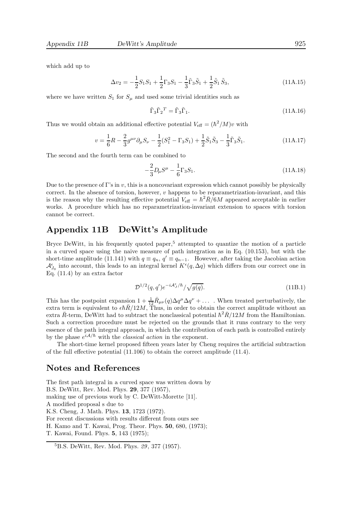which add up to

$$
\Delta v_2 = -\frac{1}{2}S_1S_1 + \frac{1}{2}\Gamma_3S_1 - \frac{1}{3}\tilde{\Gamma}_3\tilde{S}_1 + \frac{1}{2}\tilde{S}_1\tilde{S}_3,
$$
\n(11A.15)

where we have written  $S_1$  for  $S_\mu$  and used some trivial identities such as

$$
\tilde{\Gamma}_3 \tilde{\Gamma}_2{}^T = \tilde{\Gamma}_3 \tilde{\Gamma}_1. \tag{11A.16}
$$

Thus we would obtain an additional effective potential  $V_{\text{eff}} = (\hbar^2/M)v$  with

$$
v = \frac{1}{6}R - \frac{2}{3}g^{\mu\nu}\partial_{\mu}S_{\nu} - \frac{1}{2}(S_1^2 - \Gamma_3S_1) + \frac{1}{2}\tilde{S}_1\tilde{S}_3 - \frac{1}{3}\tilde{\Gamma}_3\tilde{S}_1.
$$
 (11A.17)

The second and the fourth term can be combined to

$$
-\frac{2}{3}D_{\mu}S^{\mu} - \frac{1}{6}\Gamma_3S_1.
$$
\n(11A.18)

Due to the presence of Γ's in v, this is a noncovariant expression which cannot possibly be physically correct. In the absence of torsion, however, v happens to be reparametrization-invariant, and this is the reason why the resulting effective potential  $V_{\text{eff}} = \hbar^2 \bar{R}/6M$  appeared acceptable in earlier works. A procedure which has no reparametrization-invariant extension to spaces with torsion cannot be correct.

# Appendix 11B DeWitt's Amplitude

Bryce DeWitt, in his frequently quoted paper,<sup>5</sup> attempted to quantize the motion of a particle in a curved space using the naive measure of path integration as in Eq. (10.153), but with the short-time amplitude (11.141) with  $q \equiv q_n$ ,  $q' \equiv q_{n-1}$ . However, after taking the Jacobian action  $\mathcal{A}_{J_0}^{\epsilon}$  into account, this leads to an integral kernel  $K^{\epsilon}(q, \Delta q)$  which differs from our correct one in Eq. (11.4) by an extra factor

$$
\mathcal{D}^{1/2}(q,q')e^{-i\mathcal{A}_J^{\epsilon}/\hbar}/\sqrt{g(q)}.
$$
\n(11B.1)

This has the postpoint expansion  $1 + \frac{1}{12} \bar{R}_{\mu\nu}(q) \Delta q^{\mu} \Delta q^{\nu} + \dots$ . When treated perturbatively, the extra term is equivalent to  $\epsilon\hbar\bar{R}/12M$ , Thus, in order to obtain the correct amplitude without an extra  $\overline{R}$ -term, DeWitt had to subtract the nonclassical potential  $\hbar^2 \overline{R}/12M$  from the Hamiltonian. Such a correction procedure must be rejected on the grounds that it runs contrary to the very essence of the path integral approach, in which the contribution of each path is controlled entirely by the phase  $e^{iA/\hbar}$  with the *classical action* in the exponent.

The short-time kernel proposed fifteen years later by Cheng requires the artificial subtraction of the full effective potential (11.106) to obtain the correct amplitude (11.4).

## Notes and References

The first path integral in a curved space was written down by B.S. DeWitt, Rev. Mod. Phys. 29, 377 (1957), making use of previous work by C. DeWitt-Morette [11]. A modified proposal s due to K.S. Cheng, J. Math. Phys. 13, 1723 (1972). For recent discussions with results different from ours see H. Kamo and T. Kawai, Prog. Theor. Phys. 50, 680, (1973); T. Kawai, Found. Phys. 5, 143 (1975);

<sup>5</sup>B.S. DeWitt, Rev. Mod. Phys. 29, 377 (1957).